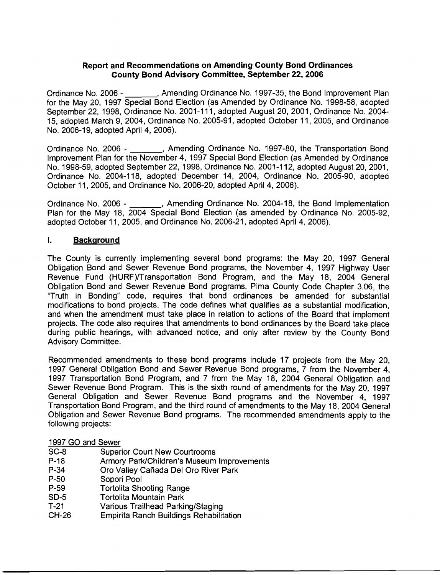## **Report and Recommendations on Amending County Bond Ordinances County Bond Advisory Committee, September 22,2006**

Ordinance No. 2006 - , Amending Ordinance No. 1997-35, the Bond Improvement Plan for the May 20, 1997 Special Bond Election (as Amended by Ordinance No. 1998-58, adopted September 22, 1998, Ordinance No. 2001-11 1, adopted August 20, 2001, Ordinance No. 2004- 15, adopted March 9, 2004, Ordinance No. 2005-91, adopted October I I, 2005, and Ordinance No. 2006-19, adopted April 4, 2006).

Ordinance No. 2006 - \_\_\_\_\_\_, Amending Ordinance No. 1997-80, the Transportation Bond lmprovement Plan for the November 4, 1997 Special Bond Election (as Amended by Ordinance No. 1998-59, adopted September 22, 1998, Ordinance No. 2001 -1 12, adopted August 20, 2001, Ordinance No. 2004-118, adopted December 14, 2004, Ordinance No. 2005-90, adopted October 11, 2005, and Ordinance No. 2006-20, adopted April 4, 2006).

Ordinance No. 2006 - \_\_\_\_\_\_, Amending Ordinance No. 2004-18, the Bond Implementation Plan for the May 18, 2004 Special Bond Election (as amended by Ordinance No. 2005-92, adopted October 11, 2005, and Ordinance No. 2006-21, adopted April 4, 2006).

### **1.** Background

The County is currently implementing several bond programs: the May 20, 1997 General Obligation Bond and Sewer Revenue Bond programs, the November 4, 1997 Highway User Revenue Fund (HURF)/Transportation Bond Program, and the May 18, 2004 General Obligation Bond and Sewer Revenue Bond programs. Pima County Code Chapter 3.06, the "Truth in Bonding" code, requires that bond ordinances be amended for substantial modifications to bond projects. The code defines what qualifies as a substantial modification, and when the amendment must take place in relation to actions of the Board that implement projects. The code also requires that amendments to bond ordinances by the Board take place during public hearings, with advanced notice, and only after review by the County Bond Advisory Committee.

Recommended amendments to these bond programs include 17 projects from the May 20, 1997 General Obligation Bond and Sewer Revenue Bond programs, 7 from the November 4, 1997 Transportation Bond Program, and 7 from the May 18, 2004 General Obligation and Sewer Revenue Bond Program. This is the sixth round of amendments for the May 20, 1997 General Obligation and Sewer Revenue Bond programs and the November 4, 1997 Transportation Bond Program, and the third round of amendments to the May 18, 2004 General Obligation and Sewer Revenue Bond programs. The recommended amendments apply to the following projects:

### 1997 GO and Sewer

- SC-8 Superior Court New Courtrooms
- P-18 **Armory Park/Children's Museum Improvements**
- P-34 Oro Valley Canada Del Oro River Park
- P-50 Sopori Pool<br>P-59 Tortolita Sho
- **Tortolita Shooting Range**
- SD-5 Tortolita Mountain Park
- T-21 Various Trailhead Parking/Staging
- CH-26 Empirita Ranch Buildings Rehabilitation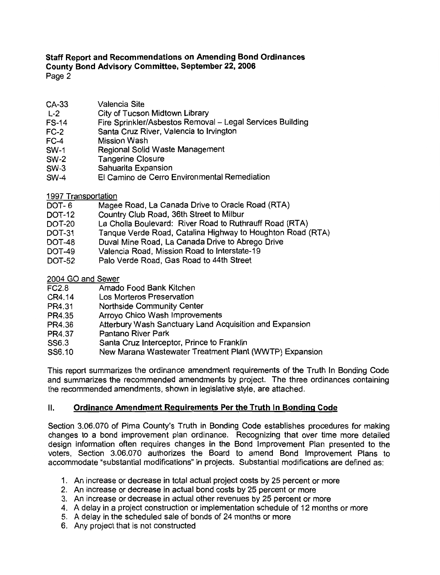- CA-33 Valencia Site
- City of Tucson Midtown Library  $L - 2$
- Fire Sprinkler/Asbestos Removal Legal Services Building **FS-14**
- Santa Cruz River, Valencia to Irvington  $FC-2$
- $FC-4$ Mission Wash
- Regional Solid Waste Management  $SW-1$
- **Tangerine Closure SW-2**
- Sahuarita Expansion  $SW-3$
- El Camino de Cerro Environmental Remediation  $SW-4$
- 1997 Transportation
- Magee Road, La Canada Drive to Oracle Road (RTA)  $DOT-6$
- Country Club Road, 36th Street to Milbur **DOT-12**
- La Cholla Boulevard: River Road to Ruthrauff Road (RTA) **DOT-20**
- Tanque Verde Road, Catalina Highway to Houghton Road (RTA) **DOT-31**
- Duval Mine Road, La Canada Drive to Abrego Drive  $DT-48$
- **DOT-49** Valencia Road, Mission Road to Interstate-19
- Palo Verde Road, Gas Road to 44th Street **DOT-52**

2004 GO and Sewer

- Amado Food Bank Kitchen **FC2.8**
- CR4.14 Los Morteros Preservation
- PR4.31 Northside Community Center
- PR4.35 Arroyo Chico Wash Improvements
- PR4.36 Atterbury Wash Sanctuary Land Acquisition and Expansion
- Pantano River Park PR4.37
- Santa Cruz Interceptor, Prince to Franklin SS6.3
- SS6.10 New Marana Wastewater Treatment Plant (WWTP) Expansion

This report summarizes the ordinance amendment requirements of the Truth In Bonding Code and summarizes the recommended amendments by project. The three ordinances containing the recommended amendments, shown in legislative style, are attached.

#### II. Ordinance Amendment Requirements Per the Truth In Bonding Code

Section 3.06.070 of Pima County's Truth in Bonding Code establishes procedures for making changes to a bond improvement plan ordinance. Recognizing that over time more detailed design information often requires changes in the Bond Improvement Plan presented to the voters, Section 3.06.070 authorizes the Board to amend Bond Improvement Plans to accommodate "substantial modifications" in projects. Substantial modifications are defined as:

- 1. An increase or decrease in total actual project costs by 25 percent or more
- 2. An increase or decrease in actual bond costs by 25 percent or more
- 3. An increase or decrease in actual other revenues by 25 percent or more
- 4. A delay in a project construction or implementation schedule of 12 months or more
- 5. A delay in the scheduled sale of bonds of 24 months or more
- 6. Any project that is not constructed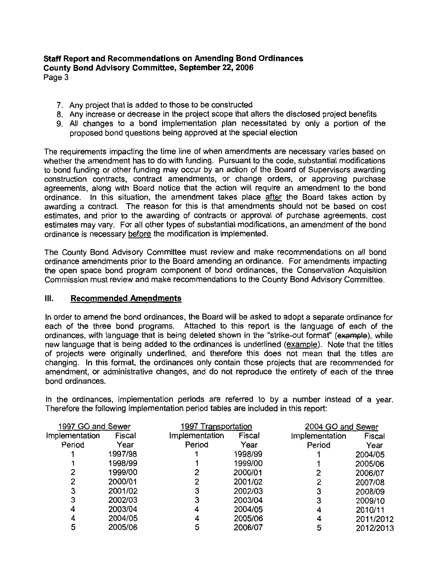Page 3

- 7. Any project that is added to those to be constructed
- 8. Any increase or decrease in the project scope that alters the disclosed project benefits
- 9. All changes to a bond implementation plan necessitated by only a portion of the proposed bond questions being approved at the special election

The requirements impacting the time line of when amendments are necessary varies based on whether the amendment has to do with funding. Pursuant to the code, substantial modifications to bond funding or other funding may occur by an action of the Board of Supervisors awarding construction contracts, contract amendments, or change orders, or approving purchase agreements, along with Board notice that the action will require an amendment to the bond ordinance. In this situation, the amendment takes place after the Board takes action by awarding a contract. The reason for this is that amendments should not be based on cost estimates, and prior to the awarding of contracts or approval of purchase agreements, cost estimates may vary. For all other types of substantial modifications, an amendment of the bond ordinance is necessary before the modification is implemented.

The County Bond Advisory Committee must review and make recommendations on all bond ordinance amendments prior to the Board amending an ordinance. For amendments impacting the open space bond program component of bond ordinances, the Conservation Acquisition Commission must review and make recommendations to the County Bond Advisory Committee.

#### $III.$ **Recommended Amendments**

In order to amend the bond ordinances, the Board will be asked to adopt a separate ordinance for each of the three bond programs. Attached to this report is the language of each of the ordinances, with language that is being deleted shown in the "strike-out format" (example), while new language that is being added to the ordinances is underlined (example). Note that the titles of projects were originally underlined, and therefore this does not mean that the titles are changing. In this format, the ordinances only contain those projects that are recommended for amendment, or administrative changes, and do not reproduce the entirety of each of the three bond ordinances.

In the ordinances, implementation periods are referred to by a number instead of a year. Therefore the following implementation period tables are included in this report:

| 1997 GO and Sewer |         |                | 1997 Transportation |                | 2004 GO and Sewer |  |
|-------------------|---------|----------------|---------------------|----------------|-------------------|--|
| Implementation    | Fiscal  | Implementation | Fiscal              | Implementation | Fiscal            |  |
| Period            | Year    | Period         | Year                | Period         | Year              |  |
|                   | 1997/98 |                | 1998/99             |                | 2004/05           |  |
|                   | 1998/99 |                | 1999/00             |                | 2005/06           |  |
|                   | 1999/00 |                | 2000/01             |                | 2006/07           |  |
|                   | 2000/01 |                | 2001/02             |                | 2007/08           |  |
| 3                 | 2001/02 |                | 2002/03             |                | 2008/09           |  |
| 3                 | 2002/03 |                | 2003/04             |                | 2009/10           |  |
| 4                 | 2003/04 |                | 2004/05             | 4              | 2010/11           |  |
|                   | 2004/05 |                | 2005/06             |                | 2011/2012         |  |
|                   | 2005/06 |                | 2006/07             |                | 2012/2013         |  |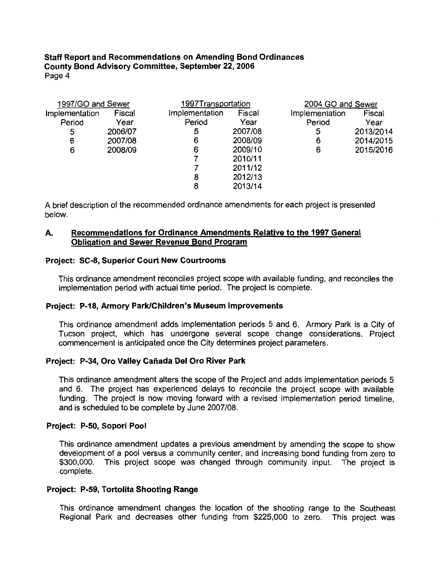| 1997/GO and Sewer |         |                | 1997Transportation |                | 2004 GO and Sewer |  |
|-------------------|---------|----------------|--------------------|----------------|-------------------|--|
| Implementation    | Fiscal  | Implementation | Fiscal             | Implementation | Fiscal            |  |
| Period            | Year    | Period         | Year               | Period         | Year              |  |
| 5                 | 2006/07 | 5              | 2007/08            | 5              | 2013/2014         |  |
| 6                 | 2007/08 | 6              | 2008/09            | 6              | 2014/2015         |  |
| 6                 | 2008/09 | 6              | 2009/10            | 6              | 2015/2016         |  |
|                   |         |                | 2010/11            |                |                   |  |
|                   |         |                | 2011/12            |                |                   |  |
|                   |         | 8              | 2012/13            |                |                   |  |
|                   |         | 8              | 2013/14            |                |                   |  |

A brief description of the recommended ordinance amendments for each project is presented below.

#### Recommendations for Ordinance Amendments Relative to the 1997 General А. **Obligation and Sewer Revenue Bond Program**

## **Project: SC-8. Superior Court New Courtrooms**

This ordinance amendment reconciles project scope with available funding, and reconciles the implementation period with actual time period. The project is complete.

### Project: P-18, Armory Park/Children's Museum Improvements

This ordinance amendment adds implementation periods 5 and 6. Armory Park is a City of Tucson project, which has undergone several scope change considerations. Project commencement is anticipated once the City determines project parameters.

### Project: P-34, Oro Valley Cañada Del Oro River Park

This ordinance amendment alters the scope of the Project and adds implementation periods 5 and 6. The project has experienced delays to reconcile the project scope with available funding. The project is now moving forward with a revised implementation period timeline. and is scheduled to be complete by June 2007/08.

### Project: P-50, Sopori Pool

This ordinance amendment updates a previous amendment by amending the scope to show development of a pool versus a community center, and increasing bond funding from zero to \$300,000. This project scope was changed through community input. The project is complete.

### Project: P-59, Tortolita Shooting Range

This ordinance amendment changes the location of the shooting range to the Southeast Regional Park and decreases other funding from \$225,000 to zero. This project was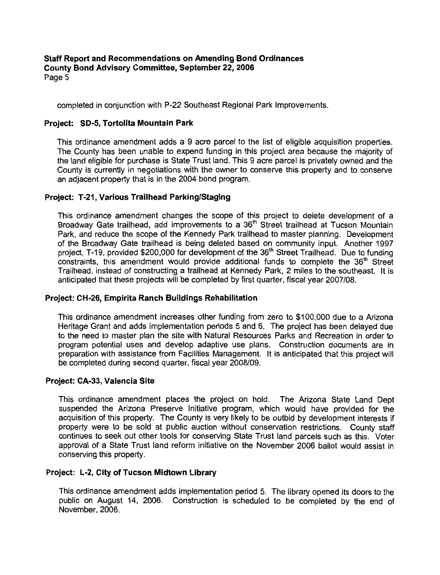completed in conjunction with P-22 Southeast Regional Park Improvements.

# Project: SD-5, Tortolita Mountain Park

This ordinance amendment adds a 9 acre parcel to the list of eligible acquisition properties. The County has been unable to expend funding in this project area because the majority of the land eligible for purchase is State Trust land. This 9 acre parcel is privately owned and the County is currently in negotiations with the owner to conserve this property and to conserve an adjacent property that is in the 2004 bond program.

## Project: T-21, Various Trailhead Parking/Staging

This ordinance amendment changes the scope of this project to delete development of a Broadway Gate trailhead, add improvements to a 36<sup>th</sup> Street trailhead at Tucson Mountain Park, and reduce the scope of the Kennedy Park trailhead to master planning. Development of the Broadway Gate trailhead is being deleted based on community input. Another 1997 project, T-19, provided \$200,000 for development of the 36<sup>th</sup> Street Trailhead. Due to funding constraints, this amendment would provide additional funds to complete the 36<sup>th</sup> Street Trailhead, instead of constructing a trailhead at Kennedy Park, 2 miles to the southeast. It is anticipated that these projects will be completed by first quarter, fiscal year 2007/08.

## Project: CH-26, Empirita Ranch Buildings Rehabilitation

This ordinance amendment increases other funding from zero to \$100,000 due to a Arizona Heritage Grant and adds implementation periods 5 and 6. The project has been delayed due to the need to master plan the site with Natural Resources Parks and Recreation in order to program potential uses and develop adaptive use plans. Construction documents are in preparation with assistance from Facilities Management. It is anticipated that this project will be completed during second quarter, fiscal year 2008/09.

## Project: CA-33, Valencia Site

This ordinance amendment places the project on hold. The Arizona State Land Dept suspended the Arizona Preserve Initiative program, which would have provided for the acquisition of this property. The County is very likely to be outbid by development interests if property were to be sold at public auction without conservation restrictions. County staff continues to seek out other tools for conserving State Trust land parcels such as this. Voter approval of a State Trust land reform initiative on the November 2006 ballot would assist in conserving this property.

## Project: L-2, City of Tucson Midtown Library

This ordinance amendment adds implementation period 5. The library opened its doors to the public on August 14, 2006. Construction is scheduled to be completed by the end of November, 2006.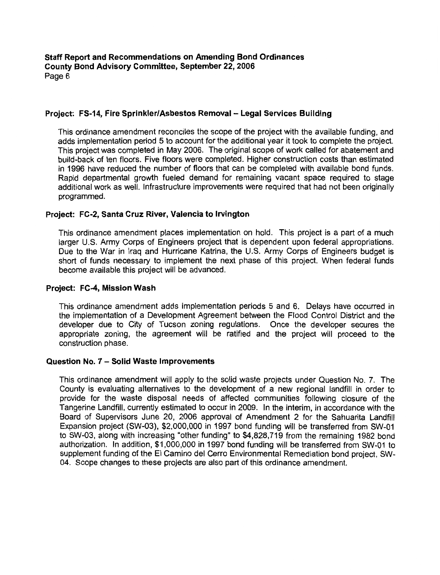## Project: FS-14. Fire Sprinkler/Asbestos Removal - Legal Services Building

This ordinance amendment reconciles the scope of the project with the available funding, and adds implementation period 5 to account for the additional year it took to complete the project. This project was completed in May 2006. The original scope of work called for abatement and build-back of ten floors. Five floors were completed. Higher construction costs than estimated in 1996 have reduced the number of floors that can be completed with available bond funds. Rapid departmental growth fueled demand for remaining vacant space required to stage additional work as well. Infrastructure improvements were required that had not been originally programmed.

## Project: FC-2, Santa Cruz River, Valencia to Irvington

This ordinance amendment places implementation on hold. This project is a part of a much larger U.S. Army Corps of Engineers project that is dependent upon federal appropriations. Due to the War in Iraq and Hurricane Katrina, the U.S. Army Corps of Engineers budget is short of funds necessary to implement the next phase of this project. When federal funds become available this project will be advanced.

### Project: FC-4, Mission Wash

This ordinance amendment adds implementation periods 5 and 6. Delays have occurred in the implementation of a Development Agreement between the Flood Control District and the developer due to City of Tucson zoning regulations. Once the developer secures the appropriate zoning, the agreement will be ratified and the project will proceed to the construction phase.

### Question No. 7 - Solid Waste Improvements

This ordinance amendment will apply to the solid waste projects under Question No. 7. The County is evaluating alternatives to the development of a new regional landfill in order to provide for the waste disposal needs of affected communities following closure of the Tangerine Landfill, currently estimated to occur in 2009. In the interim, in accordance with the Board of Supervisors June 20, 2006 approval of Amendment 2 for the Sahuarita Landfill Expansion project (SW-03), \$2,000,000 in 1997 bond funding will be transferred from SW-01 to SW-03, along with increasing "other funding" to \$4,828,719 from the remaining 1982 bond authorization. In addition, \$1,000,000 in 1997 bond funding will be transferred from SW-01 to supplement funding of the El Camino del Cerro Environmental Remediation bond project, SW-04. Scope changes to these projects are also part of this ordinance amendment.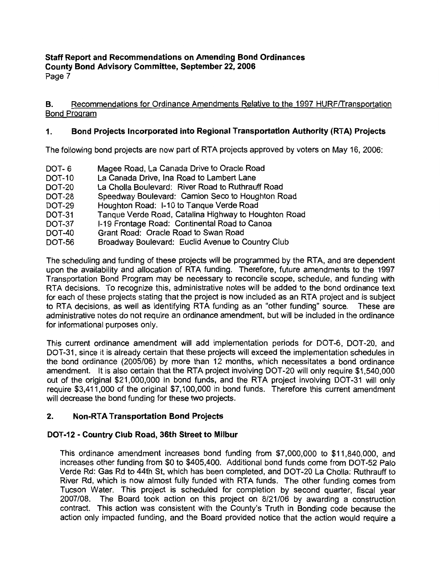Page 7

#### Recommendations for Ordinance Amendments Relative to the 1997 HURF/Transportation В. **Bond Program**

#### $\mathbf{1}$ . Bond Projects Incorporated into Regional Transportation Authority (RTA) Projects

The following bond projects are now part of RTA projects approved by voters on May 16, 2006:

- Magee Road, La Canada Drive to Oracle Road DOT-6 La Canada Drive. Ina Road to Lambert Lane **DOT-10** La Cholla Boulevard: River Road to Ruthrauff Road **DOT-20** Speedway Boulevard: Camion Seco to Houghton Road **DOT-28** Houghton Road: I-10 to Tanque Verde Road **DOT-29** Tanque Verde Road, Catalina Highway to Houghton Road **DOT-31** I-19 Frontage Road: Continental Road to Canoa **DOT-37**
- **DOT-40** Grant Road: Oracle Road to Swan Road
- Broadway Boulevard: Euclid Avenue to Country Club DOT-56

The scheduling and funding of these projects will be programmed by the RTA, and are dependent upon the availability and allocation of RTA funding. Therefore, future amendments to the 1997 Transportation Bond Program may be necessary to reconcile scope, schedule, and funding with RTA decisions. To recognize this, administrative notes will be added to the bond ordinance text for each of these projects stating that the project is now included as an RTA project and is subject to RTA decisions, as well as identifying RTA funding as an "other funding" source. These are administrative notes do not require an ordinance amendment, but will be included in the ordinance for informational purposes only.

This current ordinance amendment will add implementation periods for DOT-6, DOT-20, and DOT-31, since it is already certain that these projects will exceed the implementation schedules in the bond ordinance (2005/06) by more than 12 months, which necessitates a bond ordinance amendment. It is also certain that the RTA project involving DOT-20 will only require \$1,540,000 out of the original \$21,000,000 in bond funds, and the RTA project involving DOT-31 will only require \$3,411,000 of the original \$7,100,000 in bond funds. Therefore this current amendment will decrease the bond funding for these two projects.

#### $2.$ **Non-RTA Transportation Bond Projects**

# DOT-12 - Country Club Road, 36th Street to Milbur

This ordinance amendment increases bond funding from \$7,000,000 to \$11,840,000, and increases other funding from \$0 to \$405,400. Additional bond funds come from DOT-52 Palo Verde Rd: Gas Rd to 44th St, which has been completed, and DOT-20 La Cholla: Ruthrauff to River Rd, which is now almost fully funded with RTA funds. The other funding comes from Tucson Water. This project is scheduled for completion by second quarter, fiscal year 2007/08. The Board took action on this project on 8/21/06 by awarding a construction contract. This action was consistent with the County's Truth in Bonding code because the action only impacted funding, and the Board provided notice that the action would require a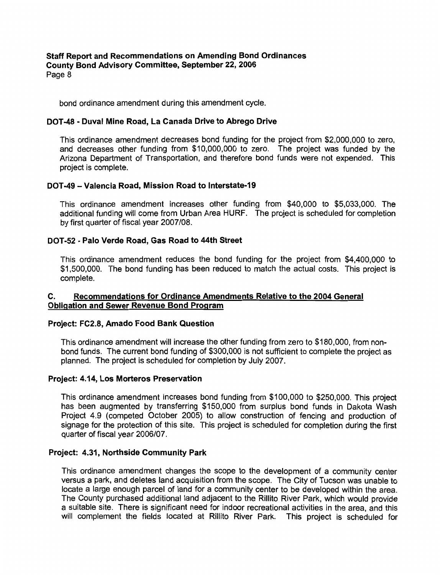bond ordinance amendment during this amendment cycle.

### DOT-48 - Duval Mine Road, La Canada Drive to Abrego Drive

This ordinance amendment decreases bond funding for the project from \$2,000,000 to zero. and decreases other funding from \$10,000,000 to zero. The project was funded by the Arizona Department of Transportation, and therefore bond funds were not expended. This project is complete.

### DOT-49 - Valencia Road, Mission Road to Interstate-19

This ordinance amendment increases other funding from \$40,000 to \$5,033,000. The additional funding will come from Urban Area HURF. The project is scheduled for completion by first quarter of fiscal year 2007/08.

## DOT-52 - Palo Verde Road, Gas Road to 44th Street

This ordinance amendment reduces the bond funding for the project from \$4,400,000 to \$1,500,000. The bond funding has been reduced to match the actual costs. This project is complete.

#### Recommendations for Ordinance Amendments Relative to the 2004 General  $\mathbf{C}$ . **Obligation and Sewer Revenue Bond Program**

### Project: FC2.8, Amado Food Bank Question

This ordinance amendment will increase the other funding from zero to \$180,000, from nonbond funds. The current bond funding of \$300,000 is not sufficient to complete the project as planned. The project is scheduled for completion by July 2007.

### Project: 4.14, Los Morteros Preservation

This ordinance amendment increases bond funding from \$100,000 to \$250,000. This project has been augmented by transferring \$150,000 from surplus bond funds in Dakota Wash Project 4.9 (competed October 2005) to allow construction of fencing and production of signage for the protection of this site. This project is scheduled for completion during the first quarter of fiscal year 2006/07.

### Project: 4.31, Northside Community Park

This ordinance amendment changes the scope to the development of a community center versus a park, and deletes land acquisition from the scope. The City of Tucson was unable to locate a large enough parcel of land for a community center to be developed within the area. The County purchased additional land adjacent to the Rillito River Park, which would provide a suitable site. There is significant need for indoor recreational activities in the area, and this will complement the fields located at Rillito River Park. This project is scheduled for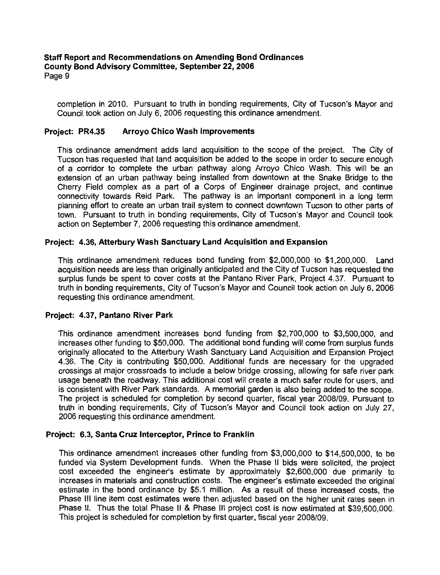completion in 2010. Pursuant to truth in bonding requirements, City of Tucson's Mayor and Council took action on July 6, 2006 requesting this ordinance amendment.

#### Project: PR4.35 **Arroyo Chico Wash Improvements**

This ordinance amendment adds land acquisition to the scope of the project. The City of Tucson has requested that land acquisition be added to the scope in order to secure enough of a corridor to complete the urban pathway along Arroyo Chico Wash. This will be an extension of an urban pathway being installed from downtown at the Snake Bridge to the Cherry Field complex as a part of a Corps of Engineer drainage project, and continue connectivity towards Reid Park. The pathway is an important component in a long term planning effort to create an urban trail system to connect downtown Tucson to other parts of town. Pursuant to truth in bonding requirements, City of Tucson's Mayor and Council took action on September 7, 2006 requesting this ordinance amendment.

## Project: 4.36, Atterbury Wash Sanctuary Land Acquisition and Expansion

This ordinance amendment reduces bond funding from \$2,000,000 to \$1,200,000. Land acquisition needs are less than originally anticipated and the City of Tucson has requested the surplus funds be spent to cover costs at the Pantano River Park, Project 4.37. Pursuant to truth in bonding requirements, City of Tucson's Mayor and Council took action on July 6, 2006 requesting this ordinance amendment.

### Project: 4.37, Pantano River Park

This ordinance amendment increases bond funding from \$2,700,000 to \$3,500,000, and increases other funding to \$50,000. The additional bond funding will come from surplus funds originally allocated to the Atterbury Wash Sanctuary Land Acquisition and Expansion Project 4.36. The City is contributing \$50,000. Additional funds are necessary for the upgraded crossings at major crossroads to include a below bridge crossing, allowing for safe river park usage beneath the roadway. This additional cost will create a much safer route for users, and is consistent with River Park standards. A memorial garden is also being added to the scope. The project is scheduled for completion by second quarter, fiscal year 2008/09. Pursuant to truth in bonding requirements, City of Tucson's Mayor and Council took action on July 27, 2006 requesting this ordinance amendment.

### Project: 6.3, Santa Cruz Interceptor, Prince to Franklin

This ordinance amendment increases other funding from \$3,000,000 to \$14,500,000, to be funded via System Development funds. When the Phase II bids were solicited, the project cost exceeded the engineer's estimate by approximately \$2,600,000 due primarily to increases in materials and construction costs. The engineer's estimate exceeded the original estimate in the bond ordinance by \$5.1 million. As a result of these increased costs, the Phase III line item cost estimates were then adjusted based on the higher unit rates seen in Phase II. Thus the total Phase II & Phase III project cost is now estimated at \$39,500,000. This project is scheduled for completion by first quarter, fiscal year 2008/09.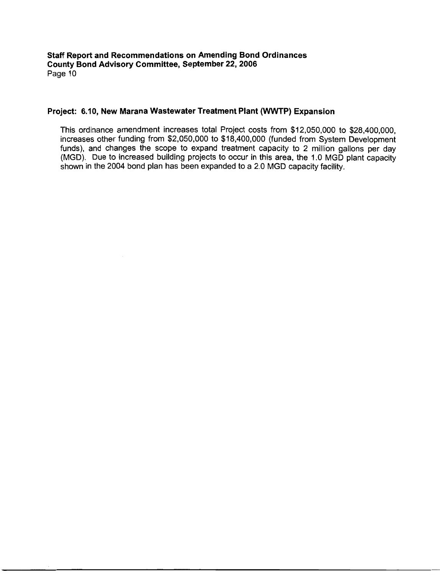## Project: 6.10, New Marana Wastewater Treatment Plant (WWTP) Expansion

This ordinance amendment increases total Project costs from \$12,050,000 to \$28,400,000. increases other funding from \$2,050,000 to \$18,400,000 (funded from System Development funds), and changes the scope to expand treatment capacity to 2 million gallons per day (MGD). Due to increased building projects to occur in this area, the 1.0 MGD plant capacity shown in the 2004 bond plan has been expanded to a 2.0 MGD capacity facility.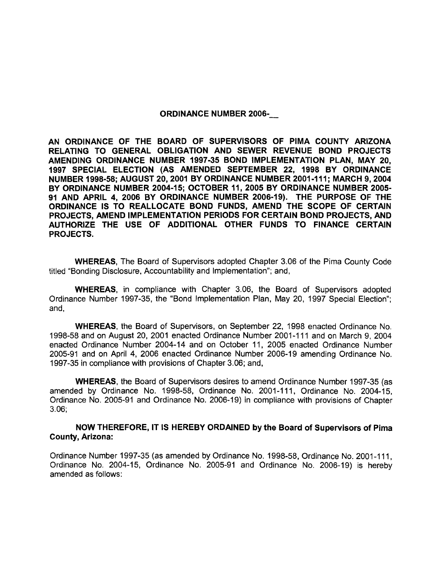#### ORDINANCE NUMBER 2006-

AN ORDINANCE OF THE BOARD OF SUPERVISORS OF PlMA COUNTY ARIZONA RELATING TO GENERAL OBLIGATION AND SEWER REVENUE BOND PROJECTS AMENDING ORDINANCE NUMBER 1997-35 BOND IMPLEMENTATION PLAN, MAY 20. 1997 SPECIAL ELECTION (AS AMENDED SEPTEMBER 22, 1998 BY ORDINANCE NUMBER 1998-58; AUGUST 20,2001 BY ORDINANCE NUMBER 2001 -1 11 ; MARCH 9,2004 BY ORDINANCE NUMBER 2004-15; OCTOBER 11,2005 BY ORDINANCE NUMBER 2005- 91 AND APRIL 4, 2006 BY ORDINANCE NUMBER 2006-19). THE PLIRPOSE OF THE ORDINANCE IS TO REALLOCATE BOND FUNDS, AMEND THE SCOPE OF CERTAIN PRO,IECTS, AMEND IMPLEMENTATION PERIODS FOR CERTAIN BOND PROJECTS, AND AUTHORIZE THE USE OF ADDITIONAL OTHER FUNDS TO FINANCE CERTAIN PROJECTS.

WHEREAS, The Board of Supervisors adopted Chapter 3.06 of the Pima County Code titled "Bonding Disclosure, Accountability and Implementation"; and,

WHEREAS, in compliance with Chapter 3.06, the Board of Supervisors adopted Ordinance Number 1997-35, the "Bond Implementation Plan, May 20, 1997 Special Election"; and,

WHEREAS, the Board of Supervisors, on September 22, 1998 enacted Ordinance No. 1998-58 and on August 20, 2001 enacted Ordinance Number 2001-111 and on March 9, 2004 enacted Ordinance Number 2004-14 and on October 11, 2005 enacted Ordinance Number 2005-91 and on April 4, 2006 enacted Ordinance Number 2006-19 amending Ordinance No. 1997-35 in compliance with provisions of Chapter 3.06; and,

WHEREAS, the Board of Supervisors desires to amend Ordinance Number 1997-35 (as amended by Ordinance No. 1998-58, Ordinance No. 2001-111, Ordinance No. 2004-15, Ordinance No. 2005-91 and Ordinance No. 2006-19) in compliance with provisions of Chapter 3.06;

### NOW THEREFORE, IT IS HEREBY ORDAINED by the Board of Supervisors of Pima County, Arizona:

Ordinance Number 1997-35 (as amended by Ordinance No. 1998-58, Ordinance No. 2001-111, Ordinance No. 2004-15, Ordinance No. 2005-91 and Ordinance No. 2006-19) is hereby amended as follows: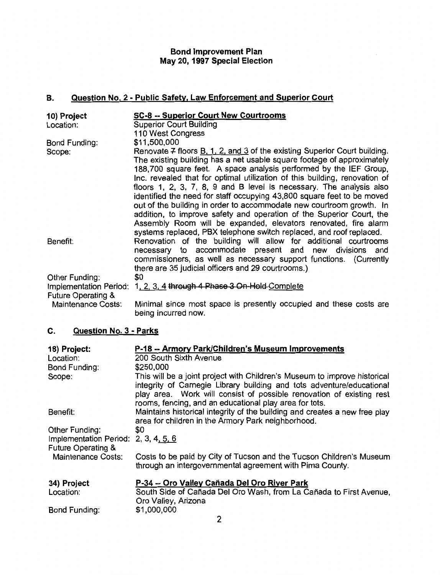# **Bond Improvement Plan** May 20, 1997 Special Election

#### Question No. 2 - Public Safety, Law Enforcement and Superior Court В.

| <b>Superior Court Building</b><br>Location:<br>110 West Congress<br>\$11,500,000<br>Bond Funding:                                                                                                                                                                                                                                                                                                                                                                                                                                                                                                                                                                                         |
|-------------------------------------------------------------------------------------------------------------------------------------------------------------------------------------------------------------------------------------------------------------------------------------------------------------------------------------------------------------------------------------------------------------------------------------------------------------------------------------------------------------------------------------------------------------------------------------------------------------------------------------------------------------------------------------------|
|                                                                                                                                                                                                                                                                                                                                                                                                                                                                                                                                                                                                                                                                                           |
|                                                                                                                                                                                                                                                                                                                                                                                                                                                                                                                                                                                                                                                                                           |
| Renovate $7$ floors $B, 1, 2$ , and 3 of the existing Superior Court building.<br>Scope:<br>The existing building has a net usable square footage of approximately<br>188,700 square feet. A space analysis performed by the IEF Group,<br>Inc. revealed that for optimal utilization of this building, renovation of<br>floors 1, 2, 3, 7, 8, 9 and B level is necessary. The analysis also<br>identified the need for staff occupying 43,800 square feet to be moved<br>out of the building in order to accommodate new courtroom growth. In<br>addition, to improve safety and operation of the Superior Court, the<br>Assembly Room will be expanded, elevators renovated, fire alarm |
| systems replaced, PBX telephone switch replaced, and roof replaced.                                                                                                                                                                                                                                                                                                                                                                                                                                                                                                                                                                                                                       |
| Renovation of the building will allow for additional courtrooms<br>Benefit:<br>necessary to accommodate present and new divisions and<br>commissioners, as well as necessary support functions. (Currently<br>there are 35 judicial officers and 29 courtrooms.)                                                                                                                                                                                                                                                                                                                                                                                                                          |
| \$0<br>Other Funding:                                                                                                                                                                                                                                                                                                                                                                                                                                                                                                                                                                                                                                                                     |
| Implementation Period: 1, 2, 3, 4 through 4 Phase 3 On-Hold-Complete                                                                                                                                                                                                                                                                                                                                                                                                                                                                                                                                                                                                                      |
| <b>Future Operating &amp;</b><br>Minimal since most space is presently occupied and these costs are<br><b>Maintenance Costs:</b>                                                                                                                                                                                                                                                                                                                                                                                                                                                                                                                                                          |

being incurred now.

#### C. Question No. 3 - Parks

| 18) Project:                         | P-18 -- Armory Park/Children's Museum Improvements                                                                                                                                                                                                                                   |
|--------------------------------------|--------------------------------------------------------------------------------------------------------------------------------------------------------------------------------------------------------------------------------------------------------------------------------------|
| Location:                            | 200 South Sixth Avenue                                                                                                                                                                                                                                                               |
| Bond Funding:                        | \$250,000                                                                                                                                                                                                                                                                            |
| Scope:                               | This will be a joint project with Children's Museum to improve historical<br>integrity of Carnegie Library building and tots adventure/educational<br>play area. Work will consist of possible renovation of existing rest<br>rooms, fencing, and an educational play area for tots. |
| Benefit:                             | Maintains historical integrity of the building and creates a new free play<br>area for children in the Armory Park neighborhood.                                                                                                                                                     |
| Other Funding:                       | \$0                                                                                                                                                                                                                                                                                  |
| Implementation Period: 2, 3, 4, 5, 6 |                                                                                                                                                                                                                                                                                      |
| <b>Future Operating &amp;</b>        |                                                                                                                                                                                                                                                                                      |
| <b>Maintenance Costs:</b>            | Costs to be paid by City of Tucson and the Tucson Children's Museum<br>through an intergovernmental agreement with Pima County.                                                                                                                                                      |
| 34) Project                          | P-34 -- Oro Valley Cañada Del Oro River Park                                                                                                                                                                                                                                         |
| Location:                            | South Side of Cañada Del Oro Wash, from La Cañada to First Avenue,<br>Oro Valley, Arizona                                                                                                                                                                                            |
| Bond Funding:                        | \$1,000,000                                                                                                                                                                                                                                                                          |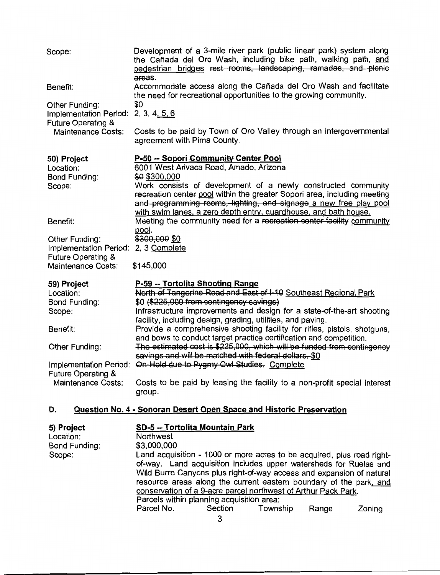| Scope:                                                                                                                                                 | Development of a 3-mile river park (public linear park) system along<br>the Cañada del Oro Wash, including bike path, walking path, and<br>pedestrian bridges rest rooms, landscaping, ramadas, and picnic<br>areas.                                                                                                                                                                                                                                                                                                                                                                                                                                                                                                                       |
|--------------------------------------------------------------------------------------------------------------------------------------------------------|--------------------------------------------------------------------------------------------------------------------------------------------------------------------------------------------------------------------------------------------------------------------------------------------------------------------------------------------------------------------------------------------------------------------------------------------------------------------------------------------------------------------------------------------------------------------------------------------------------------------------------------------------------------------------------------------------------------------------------------------|
| Benefit:                                                                                                                                               | Accommodate access along the Cañada del Oro Wash and facilitate<br>the need for recreational opportunities to the growing community.                                                                                                                                                                                                                                                                                                                                                                                                                                                                                                                                                                                                       |
| Other Funding:<br><b>Implementation Period:</b><br><b>Future Operating &amp;</b><br><b>Maintenance Costs:</b>                                          | \$0<br>2, 3, 4, 5, 6<br>Costs to be paid by Town of Oro Valley through an intergovernmental<br>agreement with Pima County.                                                                                                                                                                                                                                                                                                                                                                                                                                                                                                                                                                                                                 |
| 50) Project<br>Location:<br><b>Bond Funding:</b><br>Scope:                                                                                             | P-50 -- Sopori Community Center Pool<br>6001 West Arivaca Road, Amado, Arizona<br>\$0 \$300,000<br>Work consists of development of a newly constructed community<br>recreation center pool within the greater Sopori area, including meeting<br>and programming rooms, lighting, and signage a new free play pool<br>with swim lanes, a zero depth entry, guardhouse, and bath house.                                                                                                                                                                                                                                                                                                                                                      |
| Benefit:                                                                                                                                               | Meeting the community need for a recreation center facility community<br>pool.                                                                                                                                                                                                                                                                                                                                                                                                                                                                                                                                                                                                                                                             |
| Other Funding:<br>Implementation Period:<br><b>Future Operating &amp;</b><br><b>Maintenance Costs:</b>                                                 | \$300,000 \$0<br>2, 3 Complete<br>\$145,000                                                                                                                                                                                                                                                                                                                                                                                                                                                                                                                                                                                                                                                                                                |
| 59) Project<br>Location:<br><b>Bond Funding:</b><br>Scope:<br>Benefit:<br>Other Funding:<br><b>Future Operating &amp;</b><br><b>Maintenance Costs:</b> | P-59 -- Tortolita Shooting Range<br>North of Tangerine Road and East of I-10 Southeast Regional Park<br>\$0 (\$225,000 from contingency savings)<br>Infrastructure improvements and design for a state-of-the-art shooting<br>facility, including design, grading, utilities, and paving.<br>Provide a comprehensive shooting facility for rifles, pistols, shotguns,<br>and bows to conduct target practice certification and competition.<br>The estimated cost is \$225,000, which will be funded from contingency<br>savings and will be matched with federal dollars. \$0<br>Implementation Period: On-Hold due to Pygmy Owl Studies. Complete<br>Costs to be paid by leasing the facility to a non-profit special interest<br>group. |
| D.                                                                                                                                                     | Question No. 4 - Sonoran Desert Open Space and Historic Preservation                                                                                                                                                                                                                                                                                                                                                                                                                                                                                                                                                                                                                                                                       |
| 5) Project<br>Location:                                                                                                                                | SD-5 -- Tortolita Mountain Park<br>Northwaet                                                                                                                                                                                                                                                                                                                                                                                                                                                                                                                                                                                                                                                                                               |

| $V_1$ $V_2$   |             |                                                                                                                                                                                                                                                                                                                                                             |          |       |        |
|---------------|-------------|-------------------------------------------------------------------------------------------------------------------------------------------------------------------------------------------------------------------------------------------------------------------------------------------------------------------------------------------------------------|----------|-------|--------|
| Location:     | Northwest   |                                                                                                                                                                                                                                                                                                                                                             |          |       |        |
| Bond Funding: | \$3,000,000 |                                                                                                                                                                                                                                                                                                                                                             |          |       |        |
| Scope:        |             | Land acquisition - 1000 or more acres to be acquired, plus road right-<br>of-way. Land acquisition includes upper watersheds for Ruelas and<br>Wild Burro Canyons plus right-of-way access and expansion of natural<br>resource areas along the current eastern boundary of the park, and<br>conservation of a 9-acre parcel northwest of Arthur Pack Park. |          |       |        |
|               |             | Parcels within planning acquisition area:                                                                                                                                                                                                                                                                                                                   |          |       |        |
|               | Parcel No.  | Section                                                                                                                                                                                                                                                                                                                                                     | Township | Range | Zoning |

 $\frac{1}{3}$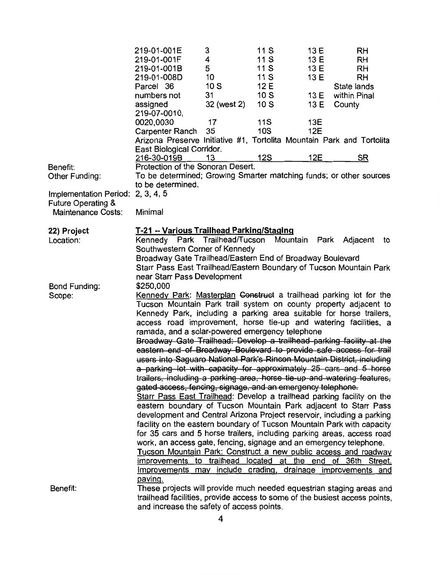|                                                            | 219-01-001E<br>219-01-001F<br>219-01-001B<br>219-01-008D<br>Parcel 36<br>numbers not<br>assigned                                                                                                                                                                                                                                                                                                                                                                                                                                                                                                                                                                                                                                                                                                                                                                                                                                                                                                                                                                                                                                                                                                                                                                                                                                                                                                                                                                      | 3<br>4<br>5<br>10<br>10S<br>31<br>32 (west 2) | 11 S<br>11 S<br>11 S<br>11 S<br>12 E<br>10S<br>10S | 13 E<br>13 E<br>13 E<br>13 E<br>13 E<br>13 E | RH<br>RH<br>RH<br><b>RH</b><br>State lands<br>within Pinal<br>County |
|------------------------------------------------------------|-----------------------------------------------------------------------------------------------------------------------------------------------------------------------------------------------------------------------------------------------------------------------------------------------------------------------------------------------------------------------------------------------------------------------------------------------------------------------------------------------------------------------------------------------------------------------------------------------------------------------------------------------------------------------------------------------------------------------------------------------------------------------------------------------------------------------------------------------------------------------------------------------------------------------------------------------------------------------------------------------------------------------------------------------------------------------------------------------------------------------------------------------------------------------------------------------------------------------------------------------------------------------------------------------------------------------------------------------------------------------------------------------------------------------------------------------------------------------|-----------------------------------------------|----------------------------------------------------|----------------------------------------------|----------------------------------------------------------------------|
|                                                            | 219-07-0010,<br>0020,0030<br>Carpenter Ranch<br>Arizona Preserve Initiative #1, Tortolita Mountain Park and Tortolita<br>East Biological Corridor.                                                                                                                                                                                                                                                                                                                                                                                                                                                                                                                                                                                                                                                                                                                                                                                                                                                                                                                                                                                                                                                                                                                                                                                                                                                                                                                    | 17<br>35                                      | <b>11S</b><br>10S                                  | 13E<br>12E                                   |                                                                      |
|                                                            | 216-30-019B                                                                                                                                                                                                                                                                                                                                                                                                                                                                                                                                                                                                                                                                                                                                                                                                                                                                                                                                                                                                                                                                                                                                                                                                                                                                                                                                                                                                                                                           | 13                                            | 12S                                                | 12E                                          | <u>SR</u>                                                            |
| Benefit:                                                   | Protection of the Sonoran Desert.                                                                                                                                                                                                                                                                                                                                                                                                                                                                                                                                                                                                                                                                                                                                                                                                                                                                                                                                                                                                                                                                                                                                                                                                                                                                                                                                                                                                                                     |                                               |                                                    |                                              |                                                                      |
| Other Funding:                                             | To be determined; Growing Smarter matching funds; or other sources                                                                                                                                                                                                                                                                                                                                                                                                                                                                                                                                                                                                                                                                                                                                                                                                                                                                                                                                                                                                                                                                                                                                                                                                                                                                                                                                                                                                    |                                               |                                                    |                                              |                                                                      |
|                                                            | to be determined.                                                                                                                                                                                                                                                                                                                                                                                                                                                                                                                                                                                                                                                                                                                                                                                                                                                                                                                                                                                                                                                                                                                                                                                                                                                                                                                                                                                                                                                     |                                               |                                                    |                                              |                                                                      |
| Implementation Period:                                     | 2, 3, 4, 5                                                                                                                                                                                                                                                                                                                                                                                                                                                                                                                                                                                                                                                                                                                                                                                                                                                                                                                                                                                                                                                                                                                                                                                                                                                                                                                                                                                                                                                            |                                               |                                                    |                                              |                                                                      |
| <b>Future Operating &amp;</b><br><b>Maintenance Costs:</b> | Minimal                                                                                                                                                                                                                                                                                                                                                                                                                                                                                                                                                                                                                                                                                                                                                                                                                                                                                                                                                                                                                                                                                                                                                                                                                                                                                                                                                                                                                                                               |                                               |                                                    |                                              |                                                                      |
| 22) Project<br>Location:                                   | T-21 -- Various Trailhead Parking/Staging<br>Kennedy Park Trailhead/Tucson<br>Southwestern Corner of Kennedy<br>Broadway Gate Trailhead/Eastern End of Broadway Boulevard<br>Starr Pass East Trailhead/Eastern Boundary of Tucson Mountain Park                                                                                                                                                                                                                                                                                                                                                                                                                                                                                                                                                                                                                                                                                                                                                                                                                                                                                                                                                                                                                                                                                                                                                                                                                       |                                               | Mountain                                           |                                              | Park Adjacent<br>to                                                  |
| <b>Bond Funding:</b><br>Scope:                             | near Starr Pass Development<br>\$250,000<br>Kennedy Park: Masterplan Construct a trailhead parking lot for the<br>Tucson Mountain Park trail system on county property adjacent to<br>Kennedy Park, including a parking area suitable for horse trailers,<br>access road improvement, horse tie-up and watering facilities, a<br>ramada, and a solar-powered emergency telephone<br>Broadway Gate Trailhead: Develop a trailhead parking facility at the<br>eastern end of Broadway Boulevard to provide safe access for trail<br>users-into Saguaro National Park's Rincon Mountain District, including<br>a parking lot with capacity for approximately 25 cars and 5 horse<br>trailers, including a parking area, horse tie-up and watering features,<br>gated access, fencing, signage, and an emergency telephone.<br>Starr Pass East Trailhead: Develop a trailhead parking facility on the<br>eastern boundary of Tucson Mountain Park adjacent to Starr Pass<br>development and Central Arizona Project reservoir, including a parking<br>facility on the eastern boundary of Tucson Mountain Park with capacity<br>for 35 cars and 5 horse trailers, including parking areas, access road<br>work, an access gate, fencing, signage and an emergency telephone.<br>Tucson Mountain Park: Construct a new public access and roadway<br>improvements to trailhead located at the end<br>Improvements may include grading, drainage improvements and<br>paving. |                                               |                                                    |                                              | of 36th Street.                                                      |
| Benefit:                                                   | These projects will provide much needed equestrian staging areas and<br>trailhead facilities, provide access to some of the busiest access points,<br>and increase the safety of access points.                                                                                                                                                                                                                                                                                                                                                                                                                                                                                                                                                                                                                                                                                                                                                                                                                                                                                                                                                                                                                                                                                                                                                                                                                                                                       |                                               |                                                    |                                              |                                                                      |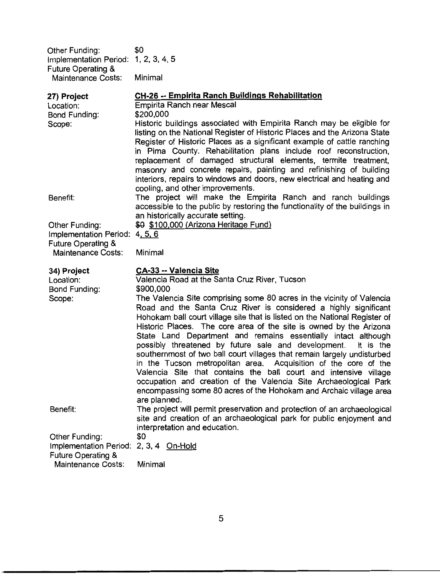| Other Funding:                       | \$0     |
|--------------------------------------|---------|
| Implementation Period: 1, 2, 3, 4, 5 |         |
| <b>Future Operating &amp;</b>        |         |
| <b>Maintenance Costs:</b>            | Minimal |

| 27) Project                                                               | CH-26 -- Empirita Ranch Buildings Rehabilitation                                                                                                                                                                                                                                                                                                                                                                                                                                                                                                                                                                                                                                                                                                                                                                |
|---------------------------------------------------------------------------|-----------------------------------------------------------------------------------------------------------------------------------------------------------------------------------------------------------------------------------------------------------------------------------------------------------------------------------------------------------------------------------------------------------------------------------------------------------------------------------------------------------------------------------------------------------------------------------------------------------------------------------------------------------------------------------------------------------------------------------------------------------------------------------------------------------------|
| Location:                                                                 | Empirita Ranch near Mescal                                                                                                                                                                                                                                                                                                                                                                                                                                                                                                                                                                                                                                                                                                                                                                                      |
| Bond Funding:                                                             | \$200,000                                                                                                                                                                                                                                                                                                                                                                                                                                                                                                                                                                                                                                                                                                                                                                                                       |
| Scope:                                                                    | Historic buildings associated with Empirita Ranch may be eligible for<br>listing on the National Register of Historic Places and the Arizona State<br>Register of Historic Places as a significant example of cattle ranching<br>in Pima County. Rehabilitation plans include roof reconstruction,<br>replacement of damaged structural elements, termite treatment,<br>masonry and concrete repairs, painting and refinishing of building<br>interiors, repairs to windows and doors, new electrical and heating and<br>cooling, and other improvements.                                                                                                                                                                                                                                                       |
| Benefit:                                                                  | The project will make the Empirita Ranch and ranch buildings<br>accessible to the public by restoring the functionality of the buildings in<br>an historically accurate setting.                                                                                                                                                                                                                                                                                                                                                                                                                                                                                                                                                                                                                                |
| Other Funding:                                                            | \$0 \$100,000 (Arizona Heritage Fund)                                                                                                                                                                                                                                                                                                                                                                                                                                                                                                                                                                                                                                                                                                                                                                           |
| Implementation Period:<br><b>Future Operating &amp;</b>                   | 4, 5, 6                                                                                                                                                                                                                                                                                                                                                                                                                                                                                                                                                                                                                                                                                                                                                                                                         |
| <b>Maintenance Costs:</b>                                                 | Minimal                                                                                                                                                                                                                                                                                                                                                                                                                                                                                                                                                                                                                                                                                                                                                                                                         |
| 34) Project                                                               | <b>CA-33 -- Valencia Site</b>                                                                                                                                                                                                                                                                                                                                                                                                                                                                                                                                                                                                                                                                                                                                                                                   |
| Location:                                                                 | Valencia Road at the Santa Cruz River, Tucson                                                                                                                                                                                                                                                                                                                                                                                                                                                                                                                                                                                                                                                                                                                                                                   |
| <b>Bond Funding:</b>                                                      | \$900,000                                                                                                                                                                                                                                                                                                                                                                                                                                                                                                                                                                                                                                                                                                                                                                                                       |
| Scope:                                                                    | The Valencia Site comprising some 80 acres in the vicinity of Valencia<br>Road and the Santa Cruz River is considered a highly significant<br>Hohokam ball court village site that is listed on the National Register of<br>Historic Places. The core area of the site is owned by the Arizona<br>State Land Department and remains essentially intact although<br>possibly threatened by future sale and development.<br>It is the<br>southernmost of two ball court villages that remain largely undisturbed<br>in the Tucson metropolitan area. Acquisition of the core of the<br>Valencia Site that contains the ball court and intensive village<br>occupation and creation of the Valencia Site Archaeological Park<br>encompassing some 80 acres of the Hohokam and Archaic village area<br>are planned. |
| Benefit:                                                                  | The project will permit preservation and protection of an archaeological<br>site and creation of an archaeological park for public enjoyment and                                                                                                                                                                                                                                                                                                                                                                                                                                                                                                                                                                                                                                                                |
|                                                                           | interpretation and education.                                                                                                                                                                                                                                                                                                                                                                                                                                                                                                                                                                                                                                                                                                                                                                                   |
| Other Funding:<br>Implementation Period:<br><b>Future Operating &amp;</b> | \$0<br>2, 3, 4 On-Hold                                                                                                                                                                                                                                                                                                                                                                                                                                                                                                                                                                                                                                                                                                                                                                                          |
| Maintenance Costs:                                                        | Minimal                                                                                                                                                                                                                                                                                                                                                                                                                                                                                                                                                                                                                                                                                                                                                                                                         |

 $\overline{5}$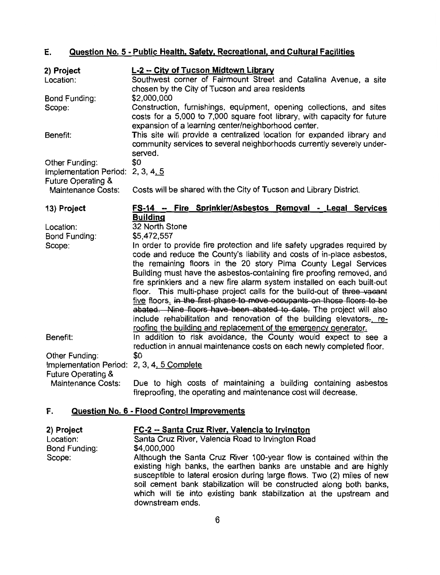#### Question No. 5 - Public Health, Safety, Recreational, and Cultural Facilities E.

| 2) Project                                                         | L-2 -- City of Tucson Midtown Library                                                                                                                                                                                                                                                                                                                                                                                                                                                                                                                                                                                                                                                                                                               |
|--------------------------------------------------------------------|-----------------------------------------------------------------------------------------------------------------------------------------------------------------------------------------------------------------------------------------------------------------------------------------------------------------------------------------------------------------------------------------------------------------------------------------------------------------------------------------------------------------------------------------------------------------------------------------------------------------------------------------------------------------------------------------------------------------------------------------------------|
| Location:                                                          | Southwest corner of Fairmount Street and Catalina Avenue, a site<br>chosen by the City of Tucson and area residents                                                                                                                                                                                                                                                                                                                                                                                                                                                                                                                                                                                                                                 |
| Bond Funding:                                                      | \$2,000,000                                                                                                                                                                                                                                                                                                                                                                                                                                                                                                                                                                                                                                                                                                                                         |
| Scope:                                                             | Construction, furnishings, equipment, opening collections, and sites<br>costs for a 5,000 to 7,000 square foot library, with capacity for future<br>expansion of a learning center/neighborhood center.                                                                                                                                                                                                                                                                                                                                                                                                                                                                                                                                             |
| Benefit:                                                           | This site will provide a centralized location for expanded library and<br>community services to several neighborhoods currently severely under-<br>served.                                                                                                                                                                                                                                                                                                                                                                                                                                                                                                                                                                                          |
| Other Funding:                                                     | \$0                                                                                                                                                                                                                                                                                                                                                                                                                                                                                                                                                                                                                                                                                                                                                 |
| Implementation Period: 2, 3, 4, 5<br><b>Future Operating &amp;</b> |                                                                                                                                                                                                                                                                                                                                                                                                                                                                                                                                                                                                                                                                                                                                                     |
| <b>Maintenance Costs:</b>                                          | Costs will be shared with the City of Tucson and Library District.                                                                                                                                                                                                                                                                                                                                                                                                                                                                                                                                                                                                                                                                                  |
| 13) Project                                                        | FS-14 -- Fire Sprinkler/Asbestos Removal - Legal Services                                                                                                                                                                                                                                                                                                                                                                                                                                                                                                                                                                                                                                                                                           |
| Location:                                                          | <b>Building</b><br>32 North Stone                                                                                                                                                                                                                                                                                                                                                                                                                                                                                                                                                                                                                                                                                                                   |
| Bond Funding:                                                      | \$5,472,557                                                                                                                                                                                                                                                                                                                                                                                                                                                                                                                                                                                                                                                                                                                                         |
| Scope:                                                             | In order to provide fire protection and life safety upgrades required by<br>code and reduce the County's liability and costs of in-place asbestos,<br>the remaining floors in the 20 story Pima County Legal Services<br>Building must have the asbestos-containing fire proofing removed, and<br>fire sprinklers and a new fire alarm system installed on each built-out<br>floor. This multi-phase project calls for the build-out of three vacant<br>five floors, in the first phase to move occupants on those floors to be<br>abated. Nine floors have been abated to date. The project will also<br>include rehabilitation and renovation of the building elevators-, re-<br>roofing the building and replacement of the emergency generator. |
| Benefit:                                                           | In addition to risk avoidance, the County would expect to see a<br>reduction in annual maintenance costs on each newly completed floor.                                                                                                                                                                                                                                                                                                                                                                                                                                                                                                                                                                                                             |
| Other Funding:                                                     | \$0                                                                                                                                                                                                                                                                                                                                                                                                                                                                                                                                                                                                                                                                                                                                                 |
| Implementation Period:<br>Future Operating &                       | 2, 3, 4, 5 Complete                                                                                                                                                                                                                                                                                                                                                                                                                                                                                                                                                                                                                                                                                                                                 |
| <b>Maintenance Costs:</b>                                          | Due to high costs of maintaining a building containing asbestos<br>fireproofing, the operating and maintenance cost will decrease.                                                                                                                                                                                                                                                                                                                                                                                                                                                                                                                                                                                                                  |

#### F. Question No. 6 - Flood Control Improvements

| 2) Project    | FC-2 -- Santa Cruz River, Valencia to Irvington                                                                                                                                                                                                                                                                                                                                        |  |  |  |
|---------------|----------------------------------------------------------------------------------------------------------------------------------------------------------------------------------------------------------------------------------------------------------------------------------------------------------------------------------------------------------------------------------------|--|--|--|
| Location:     | Santa Cruz River, Valencia Road to Irvington Road                                                                                                                                                                                                                                                                                                                                      |  |  |  |
| Bond Funding: | \$4,000,000                                                                                                                                                                                                                                                                                                                                                                            |  |  |  |
| Scope:        | Although the Santa Cruz River 100-year flow is contained within the<br>existing high banks, the earthen banks are unstable and are highly<br>susceptible to lateral erosion during large flows. Two (2) miles of new<br>soil cement bank stabilization will be constructed along both banks,<br>which will tie into existing bank stabilization at the upstream and<br>downstream ends |  |  |  |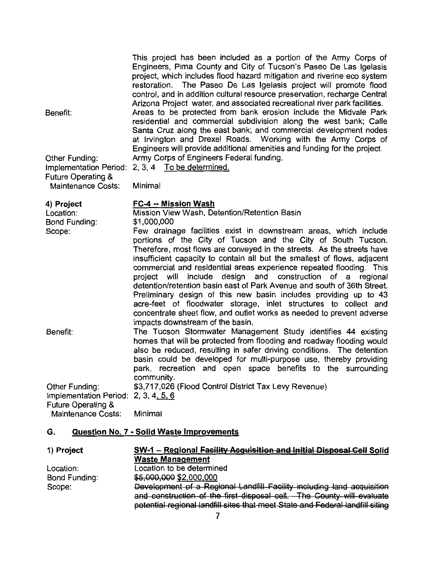|                                                           | This project has been included as a portion of the Army Corps of<br>Engineers, Pima County and City of Tucson's Paseo De Las Igelasis<br>project, which includes flood hazard mitigation and riverine eco system<br>restoration. The Paseo De Las Igelasis project will promote flood<br>control, and in addition cultural resource preservation, recharge Central<br>Arizona Project water, and associated recreational river park facilities.      |
|-----------------------------------------------------------|------------------------------------------------------------------------------------------------------------------------------------------------------------------------------------------------------------------------------------------------------------------------------------------------------------------------------------------------------------------------------------------------------------------------------------------------------|
| Benefit:                                                  | Areas to be protected from bank erosion include the Midvale Park<br>residential and commercial subdivision along the west bank; Calle<br>Santa Cruz along the east bank; and commercial development nodes<br>at Irvington and Drexel Roads. Working with the Army Corps of<br>Engineers will provide additional amenities and funding for the project.                                                                                               |
| Other Funding:<br><b>Future Operating &amp;</b>           | Army Corps of Engineers Federal funding.<br>Implementation Period: 2, 3, 4 To be determined.                                                                                                                                                                                                                                                                                                                                                         |
| <b>Maintenance Costs:</b>                                 | Minimal                                                                                                                                                                                                                                                                                                                                                                                                                                              |
| 4) Project<br>Location:<br><b>Bond Funding:</b><br>Scope: | FC-4 -- Mission Wash<br>Mission View Wash, Detention/Retention Basin<br>\$1,000,000<br>Few drainage facilities exist in downstream areas, which include<br>portions of the City of Tucson and the City of South Tucson.<br>Therefore, most flows are conveyed in the streets. As the streets have<br>insufficient capacity to contain all but the smallest of flows, adjacent<br>commercial and residential areas experience repeated flooding. This |
|                                                           | design and construction of a regional<br>project will<br>include<br>detention/retention basin east of Park Avenue and south of 36th Street.<br>Preliminary design of this new basin includes providing up to 43<br>acre-feet of floodwater storage, inlet structures to collect and<br>concentrate sheet flow, and outlet works as needed to prevent adverse<br>impacts downstream of the basin.                                                     |
| Benefit:                                                  | The Tucson Stormwater Management Study identifies 44 existing<br>homes that will be protected from flooding and roadway flooding would<br>also be reduced, resulting in safer driving conditions. The detention<br>basin could be developed for multi-purpose use, thereby providing<br>park, recreation and open space benefits to the surrounding<br>community.                                                                                    |
| Other Funding:<br>Implementation Period: 2, 3, $4, 5, 6$  | \$3,717,026 (Flood Control District Tax Levy Revenue)                                                                                                                                                                                                                                                                                                                                                                                                |

Future Operating &<br>Maintenance Costs: Minimal

#### Question No. 7 - Solid Waste Improvements G.

| 1) Project    | SW-1 - Regional Facility Acquisition and Initial Disposal Cell Solid          |  |  |
|---------------|-------------------------------------------------------------------------------|--|--|
|               | <b>Waste Management</b>                                                       |  |  |
| Location:     | Location to be determined                                                     |  |  |
| Bond Funding: | \$5,000,000 \$2,000,000                                                       |  |  |
| Scope:        | Development of a Regional Landfill Facility including land acquisition        |  |  |
|               | and construction of the first disposal cell. The County will evaluate         |  |  |
|               | potential regional landfill sites that meet State and Federal landfill siting |  |  |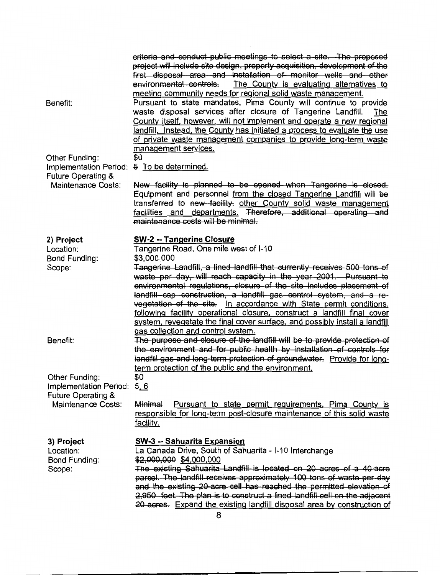| Benefit:                                                                             | criteria and conduct public meetings to select a site. The proposed<br>project will include site design, property acquisition, development of the<br>first disposal area and installation of monitor wells and other<br>environmental controls.<br>The County is evaluating alternatives to<br>meeting community needs for regional solid waste management.<br>Pursuant to state mandates, Pima County will continue to provide<br>waste disposal services after closure of Tangerine Landfill.<br>The<br>County itself, however, will not implement and operate a new regional<br>landfill. Instead, the County has initiated a process to evaluate the use<br>of private waste management companies to provide long-term waste<br>management services. |
|--------------------------------------------------------------------------------------|----------------------------------------------------------------------------------------------------------------------------------------------------------------------------------------------------------------------------------------------------------------------------------------------------------------------------------------------------------------------------------------------------------------------------------------------------------------------------------------------------------------------------------------------------------------------------------------------------------------------------------------------------------------------------------------------------------------------------------------------------------|
| Other Funding:<br>Implementation Period:<br><b>Future Operating &amp;</b>            | \$0<br>5 To be determined.                                                                                                                                                                                                                                                                                                                                                                                                                                                                                                                                                                                                                                                                                                                               |
| <b>Maintenance Costs:</b>                                                            | New facility is planned to be opened when Tangerine is closed.<br>Equipment and personnel from the closed Tangerine Landfill will be<br>transferred to new facility. other County solid waste management<br>facilities and departments. Therefore, additional operating and<br>maintenance costs will be minimal.                                                                                                                                                                                                                                                                                                                                                                                                                                        |
| 2) Project<br>Location:                                                              | <b>SW-2 -- Tangerine Closure</b><br>Tangerine Road, One mile west of I-10                                                                                                                                                                                                                                                                                                                                                                                                                                                                                                                                                                                                                                                                                |
| Bond Funding:<br>Scope:                                                              | \$3,000,000<br>Tangerine Landfill, a lined landfill that currently receives 500 tons of<br>waste per day, will reach capacity in the year 2001. Pursuant to<br>environmental regulations, closure of the site includes placement of<br>landfill-cap-construction, a landfill gas control system, and a re-<br>vegetation of the site. In accordance with State permit conditions,<br>following facility operational closure, construct a landfill final cover<br>system, revegetate the final cover surface, and possibly install a landfill<br>gas collection and control system.                                                                                                                                                                       |
| Benefit:                                                                             | The purpose and closure of the landfill will be to provide protection of<br>the environment and for public health by installation of controls for<br>landfill gas and long-term protection of groundwater. Provide for long-<br>term protection of the public and the environment.                                                                                                                                                                                                                                                                                                                                                                                                                                                                       |
| Other Funding:<br>Implementation Period:<br>Future Operating &<br>Maintenance Costs: | \$0<br>5, 6                                                                                                                                                                                                                                                                                                                                                                                                                                                                                                                                                                                                                                                                                                                                              |
|                                                                                      | Pursuant to state permit requirements, Pima County is<br>Minimal<br>responsible for long-term post-closure maintenance of this solid waste<br>facility.                                                                                                                                                                                                                                                                                                                                                                                                                                                                                                                                                                                                  |
| 3) Project<br>Location:<br>Bond Funding:<br>Scope:                                   | SW-3 -- Sahuarita Expansion<br>La Canada Drive, South of Sahuarita - I-10 Interchange<br>\$2,000,000 \$4,000,000<br>The existing Sahuarita Landfill is located on 20 acres of a 40-acre<br>parcel. The landfill receives approximately 100 tons of waste per day<br>and the existing 20-acre cell has reached the permitted elevation of<br>2,950 feet. The plan is to construct a lined landfill cell on the adjacent<br>20-acres. Expand the existing landfill disposal area by construction of                                                                                                                                                                                                                                                        |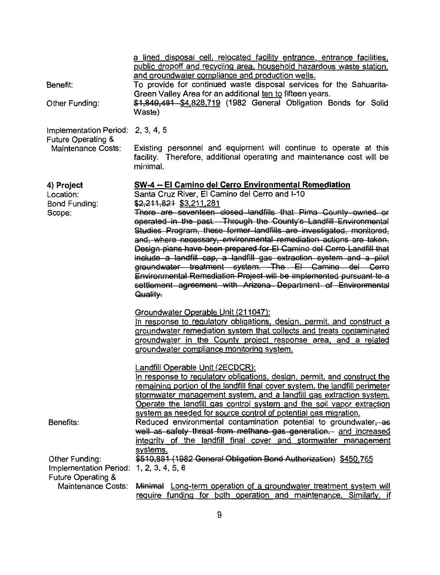|                                              | a lined disposal cell, relocated facility entrance, entrance facilities,<br>public dropoff and recycling area, household hazardous waste station,<br>and groundwater compliance and production wells.                                                                                                                                                                                                                                                                                                                                                                                                                                           |
|----------------------------------------------|-------------------------------------------------------------------------------------------------------------------------------------------------------------------------------------------------------------------------------------------------------------------------------------------------------------------------------------------------------------------------------------------------------------------------------------------------------------------------------------------------------------------------------------------------------------------------------------------------------------------------------------------------|
| Benefit:                                     | To provide for continued waste disposal services for the Sahuarita-<br>Green Valley Area for an additional ten to fifteen years.                                                                                                                                                                                                                                                                                                                                                                                                                                                                                                                |
| Other Funding:                               | \$1,849,481 \$4,828,719 (1982 General Obligation Bonds for Solid<br>Waste)                                                                                                                                                                                                                                                                                                                                                                                                                                                                                                                                                                      |
| Implementation Period:<br>Future Operating & | 2, 3, 4, 5                                                                                                                                                                                                                                                                                                                                                                                                                                                                                                                                                                                                                                      |
| <b>Maintenance Costs:</b>                    | Existing personnel and equipment will continue to operate at this<br>facility. Therefore, additional operating and maintenance cost will be<br>minimal.                                                                                                                                                                                                                                                                                                                                                                                                                                                                                         |
| 4) Project<br>Location:<br>Bond Funding:     | <b>SW-4 -- El Camino del Cerro Environmental Remediation</b><br>Santa Cruz River, El Camino del Cerro and I-10<br>\$2,211,821 \$3,211,281                                                                                                                                                                                                                                                                                                                                                                                                                                                                                                       |
| Scope:                                       | There are seventeen closed landfills that Pima County owned or<br>operated in the past. Through the County's Landfill Environmental<br>Studies Program, these former landfills are investigated, monitored,<br>and, where necessary, environmental remediation actions are taken.<br>Design plans have been prepared for El Camino del Cerro Landfill that<br>include a landfill cap, a landfill gas extraction system and a pilot<br>groundwater treatment system. The El Camino del Cerro<br>Environmental Remediation Project will be implemented pursuant to a<br>settlement agreement with Arizona Department of Environmental<br>Quality. |
|                                              | Groundwater Operable Unit (211047):                                                                                                                                                                                                                                                                                                                                                                                                                                                                                                                                                                                                             |
|                                              | In response to regulatory obligations, design, permit, and construct a<br>groundwater remediation system that collects and treats contaminated                                                                                                                                                                                                                                                                                                                                                                                                                                                                                                  |
|                                              | groundwater in the County project response area, and a related                                                                                                                                                                                                                                                                                                                                                                                                                                                                                                                                                                                  |
|                                              | groundwater compliance monitoring system.                                                                                                                                                                                                                                                                                                                                                                                                                                                                                                                                                                                                       |
|                                              | Landfill Operable Unit (2ECDCR):                                                                                                                                                                                                                                                                                                                                                                                                                                                                                                                                                                                                                |
|                                              | In response to regulatory obligations, design, permit, and construct the<br>remaining portion of the landfill final cover system, the landfill perimeter                                                                                                                                                                                                                                                                                                                                                                                                                                                                                        |
|                                              | stormwater management system, and a landfill gas extraction system.                                                                                                                                                                                                                                                                                                                                                                                                                                                                                                                                                                             |
|                                              | Operate the landfill gas control system and the soil vapor extraction                                                                                                                                                                                                                                                                                                                                                                                                                                                                                                                                                                           |
|                                              | system as needed for source control of potential gas migration.                                                                                                                                                                                                                                                                                                                                                                                                                                                                                                                                                                                 |
| Benefits:                                    | Reduced environmental contamination potential to groundwater, as<br>well as safety threat from methane gas generation. and increased                                                                                                                                                                                                                                                                                                                                                                                                                                                                                                            |
|                                              | integrity of the landfill final cover and stormwater management                                                                                                                                                                                                                                                                                                                                                                                                                                                                                                                                                                                 |
|                                              | systems.                                                                                                                                                                                                                                                                                                                                                                                                                                                                                                                                                                                                                                        |
| Other Funding:                               | \$510,881 (1982 General Obligation Bond Authorization) \$450,765                                                                                                                                                                                                                                                                                                                                                                                                                                                                                                                                                                                |
| Implementation Period: 1, 2, 3, 4, 5, 6      |                                                                                                                                                                                                                                                                                                                                                                                                                                                                                                                                                                                                                                                 |
| Future Operating &<br>Maintenance Costs:     | Minimal Long-term operation of a groundwater treatment system will                                                                                                                                                                                                                                                                                                                                                                                                                                                                                                                                                                              |
|                                              | require funding for both operation and maintenance. Similarly, if                                                                                                                                                                                                                                                                                                                                                                                                                                                                                                                                                                               |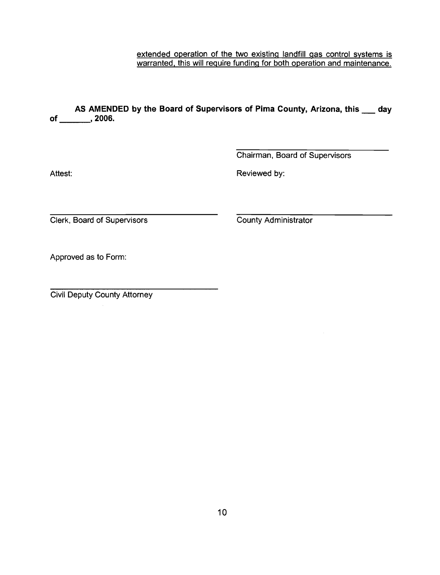extended operation of the two existing landfill gas control systems is warranted, this will require funding for both operation and maintenance.

AS AMENDED by the Board of Supervisors of Pima County, Arizona, this day of \_\_\_\_\_\_\_\_\_\_, 2006.

Attest:

Chairman, Board of Supervisors

Reviewed by:

Clerk, Board of Supervisors

**County Administrator** 

Approved as to Form:

**Civil Deputy County Attorney**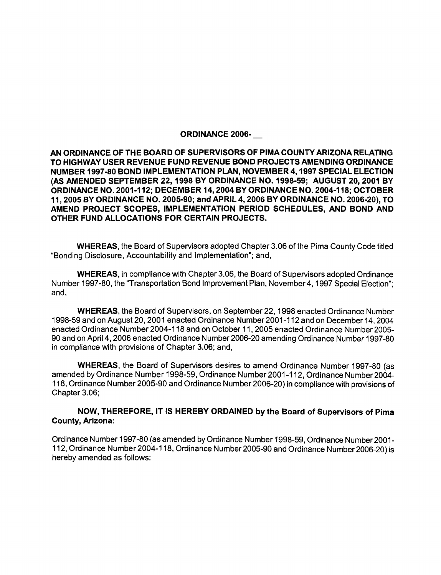## ORDINANCE 2006-

AN ORDINANCE OF THE BOARD OF SUPERVISORS OF PIMA COUNTY ARIZONA RELATING TO HIGHWAY USER REVENUE FUND REVENUE BOND PROJECTS AMENDING ORDINANCE NUMBER 1997-80 BOND IMPLEMENTATION PLAN, NOVEMBER 4,1997 SPECIAL ELECTION (AS AMENDED SEPTEMBER 22,1998 BY ORDINANCE NO. 1998-59; AUGUST 20,2001 BY ORDINANCE NO. 2001-112; DECEMBER 14,2004 BY ORDINANCE NO. 2004-1 18; OCTOBER 11, 2005 BY ORDINANCE NO. 2005-90; and APRIL 4, 2006 BY ORDINANCE NO. 2006-20), TO AMEND PROJECT SCOPES, IMPLEMENTATION PERIOD SCHEDULES, AND BOND AND OTHER FUND ALLOCATIONS FOR CERTAIN PROJECTS.

WHEREAS, the Board of Supervisors adopted Chapter 3.06 of the Pima County Code titled "Bonding Disclosure, Accountability and Implementation"; and,

WHEREAS, in compliance with Chapter 3.06, the Board of Supervisors adopted Ordinance Number 1997-80, the "Transportation Bond Improvement Plan, November 4,1997 Special Election"; and,

WHEREAS, the Board of Supervisors, on September 22,1998 enacted Ordinance Number 1998-59 and on August 20,2001 enacted Ordinance Number 2001 -1 12 and on December 14,2004 enacted Ordinance Number 2004-1 18 and on October 11,2005 enacted Ordinance Number 2005- 90 and on April 4,2006 enacted Ordinance Number 2006-20 amending Ordinance Number 1997-80 in compliance with provisions of Chapter 3.06; and,

WHEREAS, the Board of Supervisors desires to amend Ordinance Number 1997-80 (as amended by Ordinance Number 1998-59, Ordinance Number 2001 -1 12, Ordinance Number 2004- 118, Ordinance Number 2005-90 and Ordinance Number 2006-20) in compliance with provisions of Chapter 3.06;

## NOW, THEREFORE, IT IS HEREBY ORDAINED by the Board of Supervisors of Pima County, Arizona:

Ordinance Number 1997-80 (as amended by Ordinance Number 1998-59, Ordinance Number 2001 - 11 2, Ordinance Number 2004-1 18, Ordinance Number 2005-90 and Ordinance Number 2006-20) is hereby amended as follows: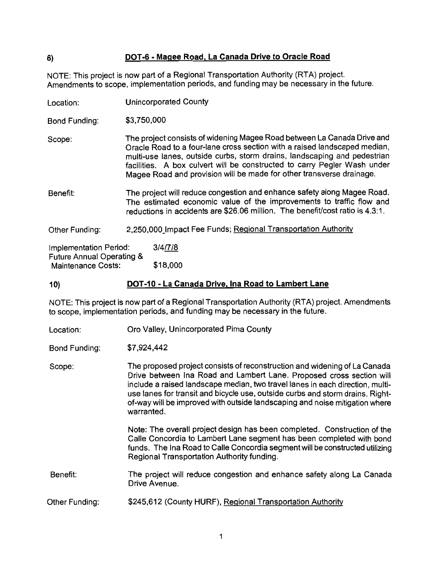# DOT-6 - Magee Road, La Canada Drive to Oracle Road

NOTE: This project is now part of a Regional Transportation Authority (RTA) project. Amendments to scope, implementation periods, and funding may be necessary in the future.

| Location:                                           | <b>Unincorporated County</b>                                                                                                                                                                                                                                                                                                                                                         |  |
|-----------------------------------------------------|--------------------------------------------------------------------------------------------------------------------------------------------------------------------------------------------------------------------------------------------------------------------------------------------------------------------------------------------------------------------------------------|--|
| Bond Funding:                                       | \$3,750,000                                                                                                                                                                                                                                                                                                                                                                          |  |
| Scope:                                              | The project consists of widening Magee Road between La Canada Drive and<br>Oracle Road to a four-lane cross section with a raised landscaped median,<br>multi-use lanes, outside curbs, storm drains, landscaping and pedestrian<br>facilities. A box culvert will be constructed to carry Pegler Wash under<br>Magee Road and provision will be made for other transverse drainage. |  |
| Benefit:                                            | The project will reduce congestion and enhance safety along Magee Road.<br>The estimated economic value of the improvements to traffic flow and<br>reductions in accidents are \$26.06 million. The benefit/cost ratio is 4.3:1.                                                                                                                                                     |  |
| Other Funding:                                      | 2,250,000 Impact Fee Funds; Regional Transportation Authority                                                                                                                                                                                                                                                                                                                        |  |
| Implementation Period:<br>Future Annual Operating & | 3/4/7/8                                                                                                                                                                                                                                                                                                                                                                              |  |

Maintenance Costs: \$18,000

#### DOT-10 - La Canada Drive, Ina Road to Lambert Lane  $10)$

NOTE: This project is now part of a Regional Transportation Authority (RTA) project. Amendments to scope, implementation periods, and funding may be necessary in the future.

Oro Valley, Unincorporated Pima County Location:

**Bond Funding:** \$7,924,442

The proposed project consists of reconstruction and widening of La Canada Scope: Drive between Ina Road and Lambert Lane. Proposed cross section will include a raised landscape median, two travel lanes in each direction, multiuse lanes for transit and bicycle use, outside curbs and storm drains. Rightof-way will be improved with outside landscaping and noise mitigation where warranted.

> Note: The overall project design has been completed. Construction of the Calle Concordia to Lambert Lane segment has been completed with bond funds. The Ina Road to Calle Concordia segment will be constructed utilizing Regional Transportation Authority funding.

- Benefit: The project will reduce congestion and enhance safety along La Canada Drive Avenue.
- \$245,612 (County HURF), Regional Transportation Authority Other Funding:

6)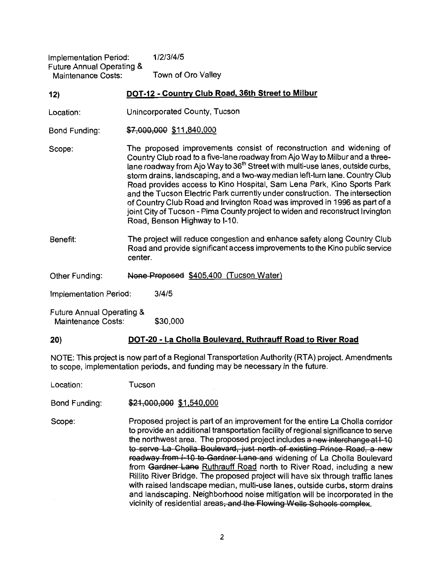| Implementation Period:    | 1/2/3/4/5          |
|---------------------------|--------------------|
| Future Annual Operating & |                    |
| Maintenance Costs:        | Town of Oro Valley |

#### DOT-12 - Country Club Road, 36th Street to Milbur  $12)$

- Location: Unincorporated County, Tucson
- \$7,000,000 \$11,840,000 **Bond Funding:**

The proposed improvements consist of reconstruction and widening of Scope: Country Club road to a five-lane roadway from Ajo Way to Milbur and a threelane roadway from Ajo Way to 36<sup>th</sup> Street with multi-use lanes, outside curbs, storm drains, landscaping, and a two-way median left-turn lane. Country Club Road provides access to Kino Hospital, Sam Lena Park, Kino Sports Park and the Tucson Electric Park currently under construction. The intersection of Country Club Road and Irvington Road was improved in 1996 as part of a joint City of Tucson - Pima County project to widen and reconstruct Irvington Road, Benson Highway to I-10.

- The project will reduce congestion and enhance safety along Country Club Benefit: Road and provide significant access improvements to the Kino public service center.
- Other Funding: None Proposed \$405,400 (Tucson Water)

Implementation Period:  $3/4/5$ 

**Future Annual Operating & Maintenance Costs:** \$30,000

 $20)$ 

## DOT-20 - La Cholla Boulevard, Ruthrauff Road to River Road

NOTE: This project is now part of a Regional Transportation Authority (RTA) project. Amendments to scope, implementation periods, and funding may be necessary in the future.

Tucson Location:

Bond Funding: \$21,000,000 \$1,540,000

Proposed project is part of an improvement for the entire La Cholla corridor Scope: to provide an additional transportation facility of regional significance to serve the northwest area. The proposed project includes a new interchange at 1-10 to serve La Cholla Boulevard, just north of existing Prince Road, a new roadway from I-10 to Gardner Lane and widening of La Cholla Boulevard from Gardner Lane Ruthrauff Road north to River Road, including a new Rillito River Bridge. The proposed project will have six through traffic lanes with raised landscape median, multi-use lanes, outside curbs, storm drains and landscaping. Neighborhood noise mitigation will be incorporated in the vicinity of residential areas, and the Flowing Wells Schools complex.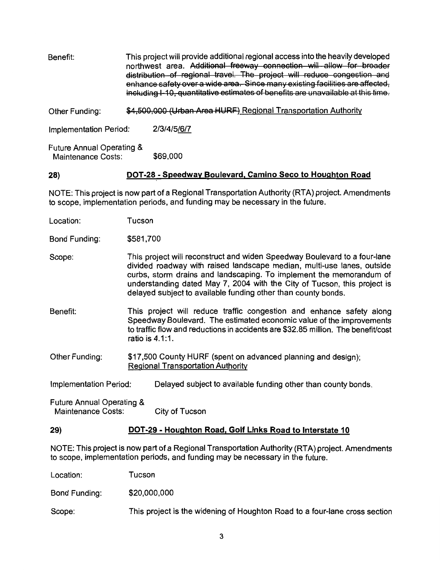| Benefit:                                                   |  | This project will provide additional regional access into the heavily developed<br>northwest area. Additional freeway connection will allow for broader<br>distribution of regional travel. The project will reduce congestion and<br>enhance safety over a wide area. Since many existing facilities are affected,<br>including I-10, quantitative estimates of benefits are unavailable at this time. |  |
|------------------------------------------------------------|--|---------------------------------------------------------------------------------------------------------------------------------------------------------------------------------------------------------------------------------------------------------------------------------------------------------------------------------------------------------------------------------------------------------|--|
| Other Funding:                                             |  | \$4,500,000 (Urban Area HURF) Regional Transportation Authority                                                                                                                                                                                                                                                                                                                                         |  |
| <b>Implementation Period:</b>                              |  | 2/3/4/5/6/7                                                                                                                                                                                                                                                                                                                                                                                             |  |
| <b>Future Annual Operating &amp;</b><br>Maintenance Costs: |  | \$69,000                                                                                                                                                                                                                                                                                                                                                                                                |  |

28)

#### DOT-28 - Speedway Boulevard, Camino Seco to Houghton Road

NOTE: This project is now part of a Regional Transportation Authority (RTA) project. Amendments to scope, implementation periods, and funding may be necessary in the future.

| Location: | Tucson |
|-----------|--------|
|           |        |

Bond Funding: \$581,700

- This project will reconstruct and widen Speedway Boulevard to a four-lane Scope: divided roadway with raised landscape median, multi-use lanes, outside curbs, storm drains and landscaping. To implement the memorandum of understanding dated May 7, 2004 with the City of Tucson, this project is delayed subject to available funding other than county bonds.
- Benefit: This project will reduce traffic congestion and enhance safety along Speedway Boulevard. The estimated economic value of the improvements to traffic flow and reductions in accidents are \$32.85 million. The benefit/cost ratio is 4.1:1.
- Other Funding: \$17,500 County HURF (spent on advanced planning and design): **Regional Transportation Authority**
- Implementation Period: Delayed subject to available funding other than county bonds.
- Future Annual Operating & Maintenance Costs: City of Tucson

#### $29)$ DOT-29 - Houghton Road, Golf Links Road to Interstate 10

NOTE: This project is now part of a Regional Transportation Authority (RTA) project. Amendments to scope, implementation periods, and funding may be necessary in the future.

Location: Tucson

Bond Funding: \$20,000,000

This project is the widening of Houghton Road to a four-lane cross section Scope: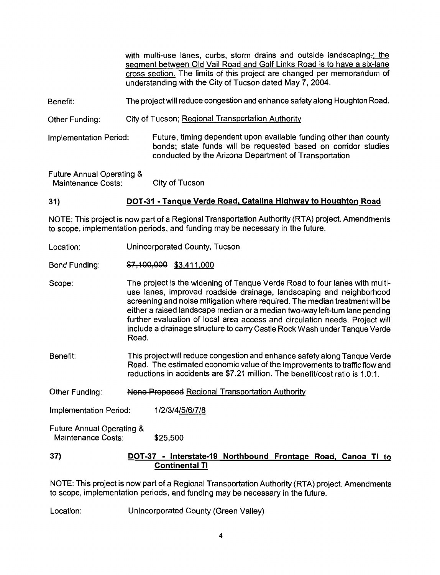with multi-use lanes, curbs, storm drains and outside landscaping-; the segment between Old Vail Road and Golf Links Road is to have a six-lane cross section. The limits of this project are changed per memorandum of understanding with the City of Tucson dated May 7, 2004. The project will reduce congestion and enhance safety along Houghton Road. Benefit: City of Tucson; Regional Transportation Authority Other Funding: Future, timing dependent upon available funding other than county **Implementation Period:** bonds: state funds will be requested based on corridor studies conducted by the Arizona Department of Transportation **Future Annual Operating &** 

Maintenance Costs: City of Tucson

#### DOT-31 - Tanque Verde Road, Catalina Highway to Houghton Road  $31)$

NOTE: This project is now part of a Regional Transportation Authority (RTA) project. Amendments to scope, implementation periods, and funding may be necessary in the future.

- Unincorporated County, Tucson Location:
- \$7,100,000 \$3,411,000 **Bond Funding:**

The project is the widening of Tanque Verde Road to four lanes with multi-Scope: use lanes, improved roadside drainage, landscaping and neighborhood screening and noise mitigation where required. The median treatment will be either a raised landscape median or a median two-way left-turn lane pending further evaluation of local area access and circulation needs. Project will include a drainage structure to carry Castle Rock Wash under Tanque Verde Road.

- Benefit: This project will reduce congestion and enhance safety along Tanque Verde Road. The estimated economic value of the improvements to traffic flow and reductions in accidents are \$7.21 million. The benefit/cost ratio is 1.0:1.
- Other Funding: None Proposed Regional Transportation Authority

**Implementation Period:** 1/2/3/4/5/6/7/8

Future Annual Operating & Maintenance Costs: \$25,500

#### $37)$ DOT-37 - Interstate-19 Northbound Frontage Road, Canoa TI to **Continental TI**

NOTE: This project is now part of a Regional Transportation Authority (RTA) project. Amendments to scope, implementation periods, and funding may be necessary in the future.

Location: Unincorporated County (Green Valley)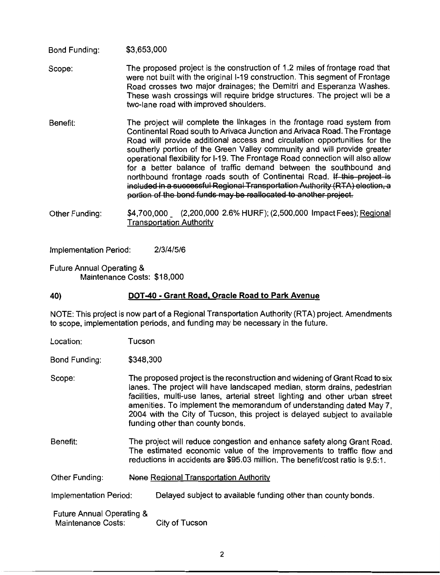#### \$3,653,000 **Bond Funding:**

- The proposed project is the construction of 1.2 miles of frontage road that Scope: were not built with the original I-19 construction. This segment of Frontage Road crosses two major drainages; the Demitri and Esperanza Washes. These wash crossings will require bridge structures. The project will be a two-lane road with improved shoulders.
- The project will complete the linkages in the frontage road system from Benefit: Continental Road south to Arivaca Junction and Arivaca Road. The Frontage Road will provide additional access and circulation opportunities for the southerly portion of the Green Valley community and will provide greater operational flexibility for I-19. The Frontage Road connection will also allow for a better balance of traffic demand between the southbound and northbound frontage roads south of Continental Road. If this project is included in a successful Regional Transportation Authority (RTA) election, a portion of the bond funds may be reallocated to another project.
- \$4,700,000 (2,200,000 2.6% HURF); (2,500,000 Impact Fees); Regional Other Funding: **Transportation Authority**

**Implementation Period:**  $2/3/4/5/6$ 

Future Annual Operating & Maintenance Costs: \$18,000

#### DOT-40 - Grant Road, Oracle Road to Park Avenue 40)

NOTE: This project is now part of a Regional Transportation Authority (RTA) project. Amendments to scope, implementation periods, and funding may be necessary in the future.

Location: Tucson

Bond Funding: \$348,300

Scope: The proposed project is the reconstruction and widening of Grant Road to six lanes. The project will have landscaped median, storm drains, pedestrian facilities, multi-use lanes, arterial street lighting and other urban street amenities. To implement the memorandum of understanding dated May 7. 2004 with the City of Tucson, this project is delayed subject to available funding other than county bonds.

- Renefit: The project will reduce congestion and enhance safety along Grant Road. The estimated economic value of the improvements to traffic flow and reductions in accidents are \$95.03 million. The benefit cost ratio is 9.5:1.
- None Regional Transportation Authority Other Funding:

Delayed subject to available funding other than county bonds. Implementation Period:

Future Annual Operating & **Maintenance Costs:** City of Tucson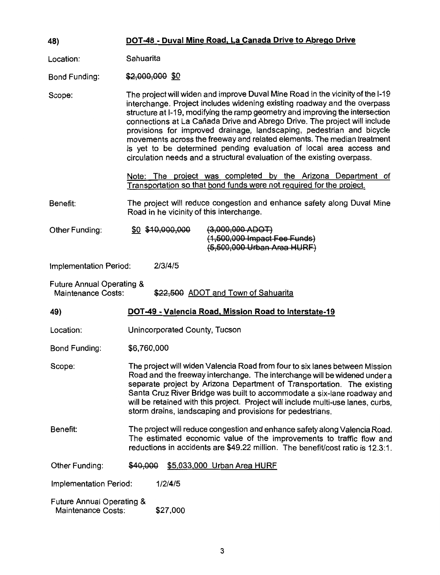| 48)                                                                                                      | DOT-48 - Duval Mine Road, La Canada Drive to Abrego Drive                                                                                                                                                                                                                                                                                                                                                                                                                                                                                                                                                                      |  |  |
|----------------------------------------------------------------------------------------------------------|--------------------------------------------------------------------------------------------------------------------------------------------------------------------------------------------------------------------------------------------------------------------------------------------------------------------------------------------------------------------------------------------------------------------------------------------------------------------------------------------------------------------------------------------------------------------------------------------------------------------------------|--|--|
| Location:                                                                                                | Sahuarita                                                                                                                                                                                                                                                                                                                                                                                                                                                                                                                                                                                                                      |  |  |
| Bond Funding:                                                                                            | \$2,000,000 \$0                                                                                                                                                                                                                                                                                                                                                                                                                                                                                                                                                                                                                |  |  |
| Scope:                                                                                                   | The project will widen and improve Duval Mine Road in the vicinity of the I-19<br>interchange. Project includes widening existing roadway and the overpass<br>structure at I-19, modifying the ramp geometry and improving the intersection<br>connections at La Cañada Drive and Abrego Drive. The project will include<br>provisions for improved drainage, landscaping, pedestrian and bicycle<br>movements across the freeway and related elements. The median treatment<br>is yet to be determined pending evaluation of local area access and<br>circulation needs and a structural evaluation of the existing overpass. |  |  |
|                                                                                                          | Note: The project was completed by the Arizona Department of<br>Transportation so that bond funds were not required for the project.                                                                                                                                                                                                                                                                                                                                                                                                                                                                                           |  |  |
| Benefit:                                                                                                 | The project will reduce congestion and enhance safety along Duval Mine<br>Road in he vicinity of this interchange.                                                                                                                                                                                                                                                                                                                                                                                                                                                                                                             |  |  |
| Other Funding:                                                                                           | $(3,000,000$ ADOT)<br>\$0 \$10,000,000<br>(1,500,000 Impact Fee Funds)<br>(5,500,000 Urban Area HURF)                                                                                                                                                                                                                                                                                                                                                                                                                                                                                                                          |  |  |
| Implementation Period:                                                                                   | 2/3/4/5                                                                                                                                                                                                                                                                                                                                                                                                                                                                                                                                                                                                                        |  |  |
| <b>Future Annual Operating &amp;</b><br>\$22,500 ADOT and Town of Sahuarita<br><b>Maintenance Costs:</b> |                                                                                                                                                                                                                                                                                                                                                                                                                                                                                                                                                                                                                                |  |  |
| 49)                                                                                                      | DOT-49 - Valencia Road, Mission Road to Interstate-19                                                                                                                                                                                                                                                                                                                                                                                                                                                                                                                                                                          |  |  |
| Location:                                                                                                | Unincorporated County, Tucson                                                                                                                                                                                                                                                                                                                                                                                                                                                                                                                                                                                                  |  |  |
| <b>Bond Funding:</b>                                                                                     | \$6,760,000                                                                                                                                                                                                                                                                                                                                                                                                                                                                                                                                                                                                                    |  |  |
| Scope:                                                                                                   | The project will widen Valencia Road from four to six lanes between Mission<br>Road and the freeway interchange. The interchange will be widened under a<br>separate project by Arizona Department of Transportation. The existing<br>Santa Cruz River Bridge was built to accommodate a six-lane roadway and<br>will be retained with this project. Project will include multi-use lanes, curbs,<br>storm drains, landscaping and provisions for pedestrians.                                                                                                                                                                 |  |  |
| Benefit:                                                                                                 | The project will reduce congestion and enhance safety along Valencia Road.<br>The estimated economic value of the improvements to traffic flow and<br>reductions in accidents are \$49.22 million. The benefit/cost ratio is 12.3:1.                                                                                                                                                                                                                                                                                                                                                                                           |  |  |
| Other Funding:                                                                                           | \$5,033,000 Urban Area HURF<br>\$40,000                                                                                                                                                                                                                                                                                                                                                                                                                                                                                                                                                                                        |  |  |
| <b>Implementation Period:</b>                                                                            | 1/2/4/5                                                                                                                                                                                                                                                                                                                                                                                                                                                                                                                                                                                                                        |  |  |
| <b>Future Annual Operating &amp;</b><br><b>Maintenance Costs:</b>                                        | \$27,000                                                                                                                                                                                                                                                                                                                                                                                                                                                                                                                                                                                                                       |  |  |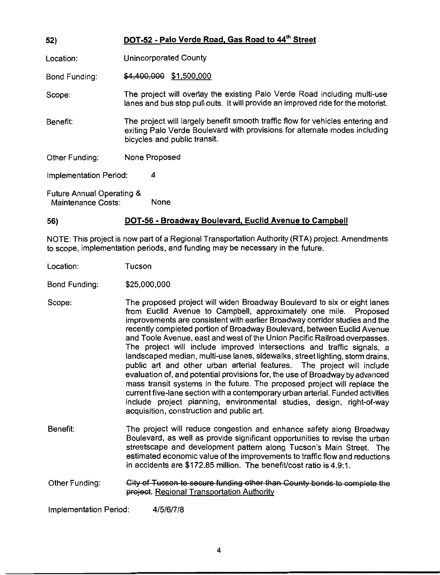| 52)                                  | DOT-52 - Palo Verde Road, Gas Road to 44" Street                                                                                                                                             |  |
|--------------------------------------|----------------------------------------------------------------------------------------------------------------------------------------------------------------------------------------------|--|
| Location:                            | <b>Unincorporated County</b>                                                                                                                                                                 |  |
| Bond Funding:                        | \$4,400,000 \$1,500,000                                                                                                                                                                      |  |
| Scope:                               | The project will overlay the existing Palo Verde Road including multi-use<br>lanes and bus stop pull outs. It will provide an improved ride for the motorist.                                |  |
| Benefit:                             | The project will largely benefit smooth traffic flow for vehicles entering and<br>exiting Palo Verde Boulevard with provisions for alternate modes including<br>bicycles and public transit. |  |
| Other Funding:                       | None Proposed                                                                                                                                                                                |  |
| Implementation Period:               | 4                                                                                                                                                                                            |  |
| <b>Euture Annual Operating &amp;</b> |                                                                                                                                                                                              |  |

Maintenance Costs: **None** 

#### DOT-56 - Broadway Boulevard, Euclid Avenue to Campbell 56)

NOTE: This project is now part of a Regional Transportation Authority (RTA) project. Amendments to scope, implementation periods, and funding may be necessary in the future.

Tucson Location:

**Bond Funding:** \$25,000,000

The proposed project will widen Broadway Boulevard to six or eight lanes Scope: from Euclid Avenue to Campbell, approximately one mile. Proposed improvements are consistent with earlier Broadway corridor studies and the recently completed portion of Broadway Boulevard, between Euclid Avenue and Toole Avenue, east and west of the Union Pacific Railroad overpasses. The project will include improved intersections and traffic signals, a landscaped median, multi-use lanes, sidewalks, street lighting, storm drains, public art and other urban arterial features. The project will include evaluation of, and potential provisions for, the use of Broadway by advanced mass transit systems in the future. The proposed project will replace the current five-lane section with a contemporary urban arterial. Funded activities include project planning, environmental studies, design, right-of-way acquisition, construction and public art.

Benefit: The project will reduce congestion and enhance safety along Broadway Boulevard, as well as provide significant opportunities to revise the urban streetscape and development pattern along Tucson's Main Street. The estimated economic value of the improvements to traffic flow and reductions in accidents are \$172.85 million. The benefit/cost ratio is 4.9:1.

Other Funding: City of Tucson to secure funding other than County bonds to complete the project. Regional Transportation Authority

Implementation Period: 4/5/6/7/8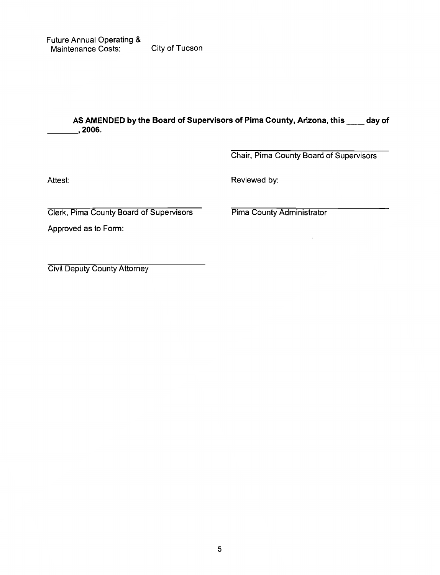# AS AMENDED by the Board of Supervisors of Pima County, Arizona, this \_\_\_\_ day of  $\overline{a}$ , 2006.

Chair, Pima County Board of Supervisors

 $\cdot$ 

Attest:

Reviewed by:

Clerk, Pima County Board of Supervisors

Approved as to Form:

Pima County Administrator

**Civil Deputy County Attorney**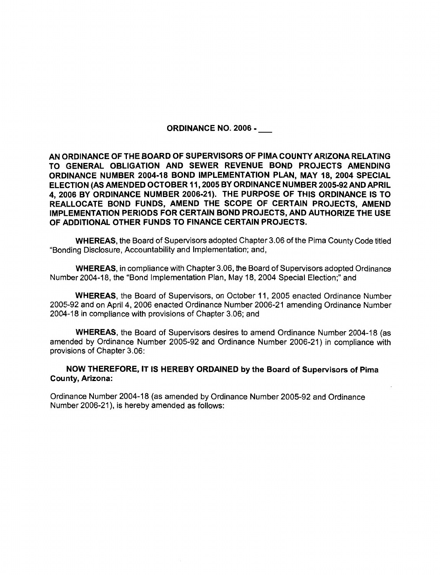**ORDINANCE NO. 2006 -**

AN ORDINANCE OF THE BOARD OF SUPERVISORS OF PIMA COUNTY ARIZONA RELATING TO GENERAL OBLIGATION AND SEWER REVENUE BOND PROJECTS AMENDING ORDINANCE NUMBER 2004-18 BOND IMPLEMENTATION PLAN, MAY 18, 2004 SPECIAL ELECTION (AS AMENDED OCTOBER 11, 2005 BY ORDINANCE NUMBER 2005-92 AND APRIL 4, 2006 BY ORDINANCE NUMBER 2006-21). THE PURPOSE OF THIS ORDINANCE IS TO REALLOCATE BOND FUNDS, AMEND THE SCOPE OF CERTAIN PROJECTS, AMEND IMPLEMENTATION PERIODS FOR CERTAIN BOND PROJECTS, AND AUTHORIZE THE USE OF ADDITIONAL OTHER FUNDS TO FINANCE CERTAIN PROJECTS.

**WHEREAS, the Board of Supervisors adopted Chapter 3.06 of the Pima County Code titled** "Bonding Disclosure, Accountability and Implementation; and,

WHEREAS, in compliance with Chapter 3.06, the Board of Supervisors adopted Ordinance Number 2004-18, the "Bond Implementation Plan, May 18, 2004 Special Election:" and

WHEREAS, the Board of Supervisors, on October 11, 2005 enacted Ordinance Number 2005-92 and on April 4, 2006 enacted Ordinance Number 2006-21 amending Ordinance Number 2004-18 in compliance with provisions of Chapter 3.06; and

**WHEREAS, the Board of Supervisors desires to amend Ordinance Number 2004-18 (as** amended by Ordinance Number 2005-92 and Ordinance Number 2006-21) in compliance with provisions of Chapter 3.06:

NOW THEREFORE, IT IS HEREBY ORDAINED by the Board of Supervisors of Pima **County, Arizona:** 

Ordinance Number 2004-18 (as amended by Ordinance Number 2005-92 and Ordinance Number 2006-21), is hereby amended as follows: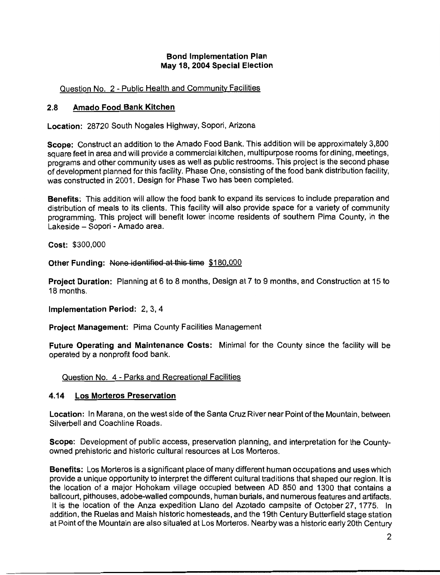## **Bond Implementation Plan** May 18, 2004 Special Election

## Question No. 2 - Public Health and Community Facilities

#### $2.8$ Amado Food Bank Kitchen

Location: 28720 South Nogales Highway, Sopori, Arizona

Scope: Construct an addition to the Amado Food Bank. This addition will be approximately 3,800 square feet in area and will provide a commercial kitchen, multipurpose rooms for dining, meetings, programs and other community uses as well as public restrooms. This project is the second phase of development planned for this facility. Phase One, consisting of the food bank distribution facility, was constructed in 2001. Design for Phase Two has been completed.

Benefits: This addition will allow the food bank to expand its services to include preparation and distribution of meals to its clients. This facility will also provide space for a variety of community programming. This project will benefit lower income residents of southern Pima County, in the Lakeside - Sopori - Amado area.

Cost: \$300,000

Other Funding: None identified at this time \$180,000

Project Duration: Planning at 6 to 8 months, Design at 7 to 9 months, and Construction at 15 to 18 months.

Implementation Period: 2, 3, 4

**Project Management: Pima County Facilities Management** 

Future Operating and Maintenance Costs: Minimal for the County since the facility will be operated by a nonprofit food bank.

Question No. 4 - Parks and Recreational Facilities

#### **Los Morteros Preservation** 4.14

Location: In Marana, on the west side of the Santa Cruz River near Point of the Mountain, between Silverbell and Coachline Roads.

Scope: Development of public access, preservation planning, and interpretation for the Countyowned prehistoric and historic cultural resources at Los Morteros.

Benefits: Los Morteros is a significant place of many different human occupations and uses which provide a unique opportunity to interpret the different cultural traditions that shaped our region. It is the location of a major Hohokam village occupied between AD 850 and 1300 that contains a ballcourt, pithouses, adobe-walled compounds, human burials, and numerous features and artifacts. It is the location of the Anza expedition Llano del Azotado campsite of October 27, 1775. In addition, the Ruelas and Maish historic homesteads, and the 19th Century Butterfield stage station at Point of the Mountain are also situated at Los Morteros. Nearby was a historic early 20th Century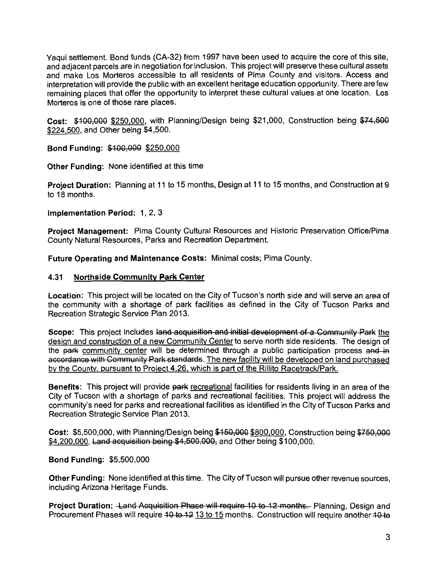Yaqui settlement. Bond funds (CA-32) from 1997 have been used to acquire the core of this site. and adiacent parcels are in negotiation for inclusion. This project will preserve these cultural assets and make Los Morteros accessible to all residents of Pima County and visitors. Access and interpretation will provide the public with an excellent heritage education opportunity. There are few remaining places that offer the opportunity to interpret these cultural values at one location. Los Morteros is one of those rare places.

Cost: \$100,000 \$250,000, with Planning/Design being \$21,000. Construction being \$74.500 \$224,500, and Other being \$4,500.

Bond Funding: \$100,000 \$250,000

**Other Funding: None identified at this time** 

Project Duration: Planning at 11 to 15 months, Design at 11 to 15 months, and Construction at 9 to 18 months.

Implementation Period: 1, 2, 3

Project Management: Pima County Cultural Resources and Historic Preservation Office/Pima County Natural Resources, Parks and Recreation Department.

Future Operating and Maintenance Costs: Minimal costs; Pima County.

#### $4.31$ **Northside Community Park Center**

Location: This project will be located on the City of Tucson's north side and will serve an area of the community with a shortage of park facilities as defined in the City of Tucson Parks and Recreation Strategic Service Plan 2013.

Scope: This project includes land acquisition and initial development of a Community Park the design and construction of a new Community Center to serve north side residents. The design of the park community center will be determined through a public participation process and in accordance with Community Park standards. The new facility will be developed on land purchased by the County, pursuant to Project 4.26, which is part of the Rillito Racetrack/Park.

Benefits: This project will provide park recreational facilities for residents living in an area of the City of Tucson with a shortage of parks and recreational facilities. This project will address the community's need for parks and recreational facilities as identified in the City of Tucson Parks and Recreation Strategic Service Plan 2013.

Cost: \$5,500,000, with Planning/Design being \$150,000 \$800,000, Construction being \$750,000 \$4,200,000, Land acquisition being \$4,500,000, and Other being \$100,000.

**Bond Funding: \$5,500,000** 

Other Funding: None identified at this time. The City of Tucson will pursue other revenue sources. including Arizona Heritage Funds.

Project Duration: Land Acquisition Phase will require 10 to 12 months. Planning, Design and Procurement Phases will require 40 to 42 13 to 15 months. Construction will require another 40 to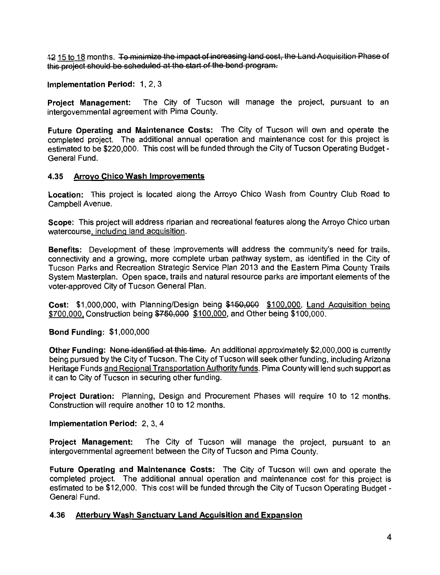12 15 to 18 months. To minimize the impact of increasing land cost, the Land Acquisition Phase of this project should be scheduled at the start of the bond program.

Implementation Period: 1, 2, 3

**Project Management:** The City of Tucson will manage the project, pursuant to an intergovernmental agreement with Pima County.

Future Operating and Maintenance Costs: The City of Tucson will own and operate the completed project. The additional annual operation and maintenance cost for this project is estimated to be \$220,000. This cost will be funded through the City of Tucson Operating Budget -General Fund

## 4.35 Arroyo Chico Wash Improvements

Location: This project is located along the Arroyo Chico Wash from Country Club Road to Campbell Avenue.

Scope: This project will address riparian and recreational features along the Arroyo Chico urban watercourse, including land acquisition.

Benefits: Development of these improvements will address the community's need for trails. connectivity and a growing, more complete urban pathway system, as identified in the City of Tucson Parks and Recreation Strategic Service Plan 2013 and the Eastern Pima County Trails System Masterplan. Open space, trails and natural resource parks are important elements of the voter-approved City of Tucson General Plan.

Cost: \$1.000.000. with Planning/Design being \$150,000 \$100,000, Land Acquisition being \$700,000, Construction being \$750,000 \$100,000, and Other being \$100,000.

**Bond Funding: \$1,000,000** 

Other Funding: None identified at this time. An additional approximately \$2,000,000 is currently being pursued by the City of Tucson. The City of Tucson will seek other funding, including Arizona Heritage Funds and Regional Transportation Authority funds. Pima County will lend such support as it can to City of Tucson in securing other funding.

Project Duration: Planning, Design and Procurement Phases will require 10 to 12 months. Construction will require another 10 to 12 months.

Implementation Period: 2, 3, 4

Project Management: The City of Tucson will manage the project, pursuant to an intergovernmental agreement between the City of Tucson and Pima County.

Future Operating and Maintenance Costs: The City of Tucson will own and operate the completed project. The additional annual operation and maintenance cost for this project is estimated to be \$12,000. This cost will be funded through the City of Tucson Operating Budget -General Fund.

#### 4.36 Atterbury Wash Sanctuary Land Acquisition and Expansion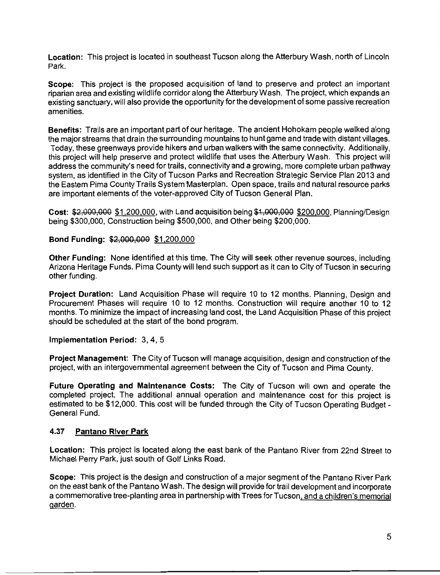Location: This project is located in southeast Tucson along the Atterbury Wash, north of Lincoln Park.

Scope: This project is the proposed acquisition of land to preserve and protect an important riparian area and existing wildlife corridor along the Atterbury Wash. The project, which expands an existing sanctuary, will also provide the opportunity for the development of some passive recreation amenities.

Benefits: Trails are an important part of our heritage. The ancient Hohokam people walked along the major streams that drain the surrounding mountains to hunt game and trade with distant villages. Today, these greenways provide hikers and urban walkers with the same connectivity. Additionally. this project will help preserve and protect wildlife that uses the Atterbury Wash. This project will address the community's need for trails, connectivity and a growing, more complete urban pathway system, as identified in the City of Tucson Parks and Recreation Strategic Service Plan 2013 and the Eastern Pima County Trails System Masterplan. Open space, trails and natural resource parks are important elements of the voter-approved City of Tucson General Plan.

Cost: \$2,000,000 \$1,200,000, with Land acquisition being \$1,000,000 \$200,000, Planning/Design being \$300,000, Construction being \$500,000, and Other being \$200,000.

Bond Funding: \$2,000,000 \$1,200,000

Other Funding: None identified at this time. The City will seek other revenue sources, including Arizona Heritage Funds. Pima County will lend such support as it can to City of Tucson in securing other funding.

Project Duration: Land Acquisition Phase will require 10 to 12 months. Planning, Design and Procurement Phases will require 10 to 12 months. Construction will require another 10 to 12 months. To minimize the impact of increasing land cost, the Land Acquisition Phase of this project should be scheduled at the start of the bond program.

Implementation Period: 3, 4, 5

Project Management: The City of Tucson will manage acquisition, design and construction of the project, with an intergovernmental agreement between the City of Tucson and Pima County.

Future Operating and Maintenance Costs: The City of Tucson will own and operate the completed project. The additional annual operation and maintenance cost for this project is estimated to be \$12,000. This cost will be funded through the City of Tucson Operating Budget -General Fund.

#### 4.37 **Pantano River Park**

Location: This project is located along the east bank of the Pantano River from 22nd Street to Michael Perry Park, just south of Golf Links Road.

Scope: This project is the design and construction of a major segment of the Pantano River Park on the east bank of the Pantano Wash. The design will provide for trail development and incorporate a commemorative tree-planting area in partnership with Trees for Tucson, and a children's memorial garden.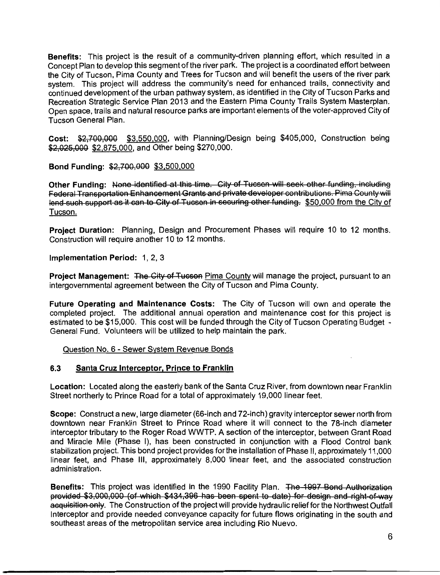Benefits: This project is the result of a community-driven planning effort, which resulted in a Concept Plan to develop this segment of the river park. The project is a coordinated effort between the City of Tucson. Pima County and Trees for Tucson and will benefit the users of the river park system. This project will address the community's need for enhanced trails, connectivity and continued development of the urban pathway system, as identified in the City of Tucson Parks and Recreation Strategic Service Plan 2013 and the Eastern Pima County Trails System Masterplan. Open space, trails and natural resource parks are important elements of the voter-approved City of Tucson General Plan.

Cost: \$2,700,000 \$3,550,000, with Planning/Design being \$405,000, Construction being \$2,025,000 \$2,875,000, and Other being \$270,000.

Bond Funding: \$2,700,000 \$3,500,000

Other Funding: None-identified at this time. City of Tucson will seek other funding, including Federal Transportation Enhancement Grants and private developer contributions. Pima County will lend such support as it can to City of Tucson in securing other funding. \$50,000 from the City of Tucson.

Project Duration: Planning, Design and Procurement Phases will require 10 to 12 months. Construction will require another 10 to 12 months.

Implementation Period: 1, 2, 3

Project Management: The City of Tucson Pima County will manage the project, pursuant to an intergovernmental agreement between the City of Tucson and Pima County.

Future Operating and Maintenance Costs: The City of Tucson will own and operate the completed project. The additional annual operation and maintenance cost for this project is estimated to be \$15,000. This cost will be funded through the City of Tucson Operating Budget -General Fund. Volunteers will be utilized to help maintain the park.

Question No. 6 - Sewer System Revenue Bonds

#### $6.3$ Santa Cruz Interceptor, Prince to Franklin

Location: Located along the easterly bank of the Santa Cruz River, from downtown near Franklin Street northerly to Prince Road for a total of approximately 19,000 linear feet.

Scope: Construct a new, large diameter (66-inch and 72-inch) gravity interceptor sewer north from downtown near Franklin Street to Prince Road where it will connect to the 78-inch diameter interceptor tributary to the Roger Road WWTP. A section of the interceptor, between Grant Road and Miracle Mile (Phase I), has been constructed in conjunction with a Flood Control bank stabilization project. This bond project provides for the installation of Phase II, approximately 11,000 linear feet, and Phase III, approximately 8,000 linear feet, and the associated construction administration.

Benefits: This project was identified in the 1990 Facility Plan. The 1997 Bond Authorization provided \$3,000,000 (of which \$434,396 has been spent to date) for design and right-of-way acquisition only. The Construction of the project will provide hydraulic relief for the Northwest Outfall Interceptor and provide needed conveyance capacity for future flows originating in the south and southeast areas of the metropolitan service area including Rio Nuevo.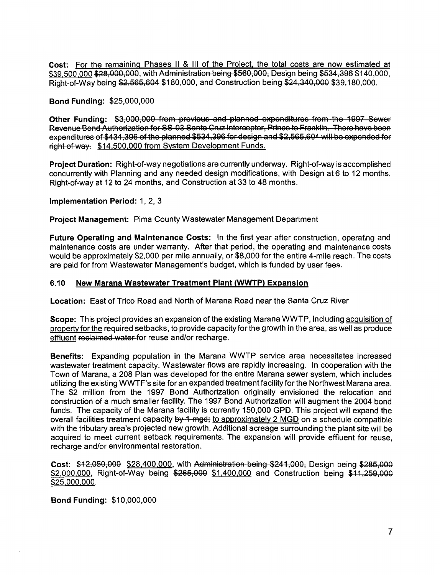Cost: For the remaining Phases II & III of the Project, the total costs are now estimated at \$39,500,000 \$28,000,000, with Administration being \$560,000. Design being \$534,396 \$140,000. Right-of-Way being \$2,565,604 \$180,000, and Construction being \$24,340,000 \$39,180,000.

### **Bond Funding: \$25,000,000**

Other Funding: \$3,000,000 from previous and planned expenditures from the 1997 Sewer Revenue Bond Authorization for SS-03 Santa Cruz Interceptor, Prince to Franklin. There have been expenditures of \$434,396 of the planned \$534,396 for design and \$2,565,604 will be expended for right of way. \$14,500,000 from System Development Funds.

Project Duration: Right-of-way negotiations are currently underway. Right-of-way is accomplished concurrently with Planning and any needed design modifications, with Design at 6 to 12 months, Right-of-way at 12 to 24 months, and Construction at 33 to 48 months.

## Implementation Period: 1, 2, 3

Project Management: Pima County Wastewater Management Department

Future Operating and Maintenance Costs: In the first year after construction, operating and maintenance costs are under warranty. After that period, the operating and maintenance costs would be approximately \$2,000 per mile annually, or \$8,000 for the entire 4-mile reach. The costs are paid for from Wastewater Management's budget, which is funded by user fees.

#### $6.10$ New Marana Wastewater Treatment Plant (WWTP) Expansion

Location: East of Trico Road and North of Marana Road near the Santa Cruz River

Scope: This project provides an expansion of the existing Marana WWTP, including acquisition of property for the required setbacks, to provide capacity for the growth in the area, as well as produce effluent reclaimed water-for reuse and/or recharge.

Benefits: Expanding population in the Marana WWTP service area necessitates increased wastewater treatment capacity. Wastewater flows are rapidly increasing. In cooperation with the Town of Marana, a 208 Plan was developed for the entire Marana sewer system, which includes utilizing the existing WWTF's site for an expanded treatment facility for the Northwest Marana area. The \$2 million from the 1997 Bond Authorization originally envisioned the relocation and construction of a much smaller facility. The 1997 Bond Authorization will augment the 2004 bond funds. The capacity of the Marana facility is currently 150,000 GPD. This project will expand the overall facilities treatment capacity by 1 mgd; to approximately 2 MGD on a schedule compatible with the tributary area's projected new growth. Additional acreage surrounding the plant site will be acquired to meet current setback requirements. The expansion will provide effluent for reuse. recharge and/or environmental restoration.

Cost: \$12,050,000 \$28,400,000, with Administration being \$241,000, Design being \$285,000 \$2,000,000, Right-of-Way being \$265,000 \$1,400,000 and Construction being \$11,259,000 \$25,000,000.

### **Bond Funding: \$10,000,000**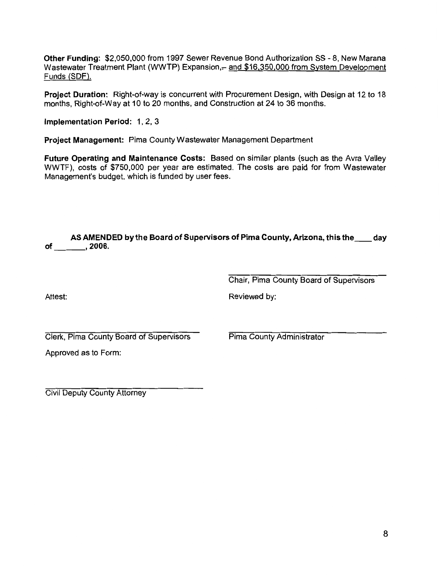Other Funding: \$2,050,000 from 1997 Sewer Revenue Bond Authorization SS - 8. New Marana Wastewater Treatment Plant (WWTP) Expansion,- and \$16,350,000 from System Development Funds (SDF).

Project Duration: Right-of-way is concurrent with Procurement Design, with Design at 12 to 18 months, Right-of-Way at 10 to 20 months, and Construction at 24 to 36 months.

Implementation Period: 1, 2, 3

Project Management: Pima County Wastewater Management Department

Future Operating and Maintenance Costs: Based on similar plants (such as the Avra Valley WWTF), costs of \$750,000 per year are estimated. The costs are paid for from Wastewater Management's budget, which is funded by user fees.

|    |         | AS AMENDED by the Board of Supervisors of Pima County, Arizona, this the | <sub>.</sub> day |  |
|----|---------|--------------------------------------------------------------------------|------------------|--|
| of | . 2006. |                                                                          |                  |  |

Chair, Pima County Board of Supervisors

Attest:

Reviewed by:

Clerk, Pima County Board of Supervisors

Pima County Administrator

Approved as to Form:

**Civil Deputy County Attorney**